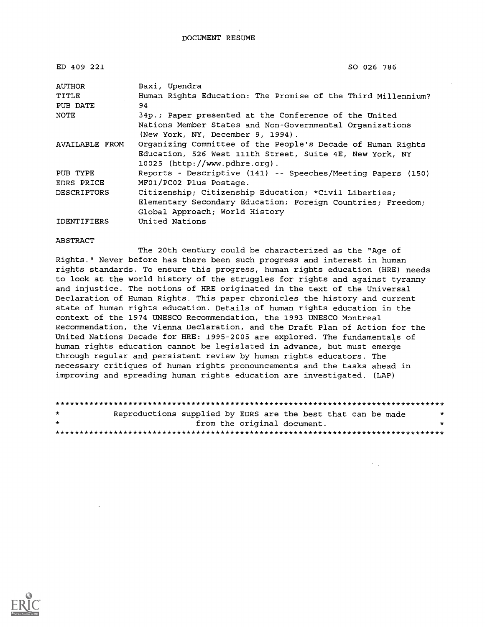DOCUMENT RESUME

| ED 409 221         | SO 026 786                                                   |
|--------------------|--------------------------------------------------------------|
| AUTHOR             | Baxi, Upendra                                                |
| TITLE              | Human Rights Education: The Promise of the Third Millennium? |
| PUB DATE           | 94                                                           |
| NOTE               | 34p.; Paper presented at the Conference of the United        |
|                    | Nations Member States and Non-Governmental Organizations     |
|                    | (New York, NY, December 9, 1994).                            |
| AVAILABLE FROM     | Organizing Committee of the People's Decade of Human Rights  |
|                    | Education, 526 West 111th Street, Suite 4E, New York, NY     |
|                    | 10025 (http://www.pdhre.org).                                |
| PUB TYPE           | Reports - Descriptive (141) -- Speeches/Meeting Papers (150) |
| EDRS PRICE         | MF01/PC02 Plus Postage.                                      |
| <b>DESCRIPTORS</b> | Citizenship; Citizenship Education; *Civil Liberties;        |
|                    | Elementary Secondary Education; Foreign Countries; Freedom;  |
|                    | Global Approach; World History                               |
| <b>IDENTIFIERS</b> | United Nations                                               |

ABSTRACT

The 20th century could be characterized as the "Age of Rights." Never before has there been such progress and interest in human rights standards. To ensure this progress, human rights education (HRE) needs to look at the world history of the struggles for rights and against tyranny and injustice. The notions of HRE originated in the text of the Universal Declaration of Human Rights. This paper chronicles the history and current state of human rights education. Details of human rights education in the context of the 1974 UNESCO Recommendation, the 1993 UNESCO Montreal Recommendation, the Vienna Declaration, and the Draft Plan of Action for the United Nations Decade for HRE: 1995-2005 are explored. The fundamentals of human rights education cannot be legislated in advance, but must emerge through regular and persistent review by human rights educators. The necessary critiques of human rights pronouncements and the tasks ahead in improving and spreading human rights education are investigated. (LAP)

| $\star$ | Reproductions supplied by EDRS are the best that can be made |  |                             |  | $\star$ |
|---------|--------------------------------------------------------------|--|-----------------------------|--|---------|
| $\star$ |                                                              |  | from the original document. |  | ÷       |
|         |                                                              |  |                             |  |         |

 $\mathcal{F}_{\mathcal{A},\mathcal{A}}$ 

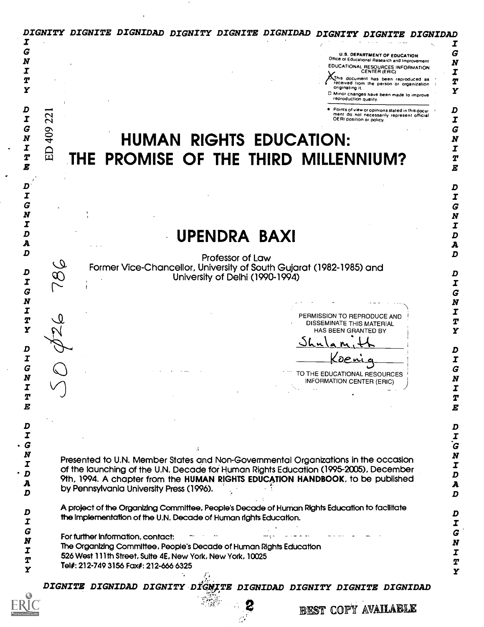|                                                                                | DIGNITY DIGNITE DIGNIDAD DIGNITY DIGNITE DIGNIDAD<br><i>DIGNITY DIGNI</i>                                                          |                  |
|--------------------------------------------------------------------------------|------------------------------------------------------------------------------------------------------------------------------------|------------------|
| G                                                                              | <b>U.S. DEPARTMENT OF EDUCATION</b>                                                                                                | τ<br>G           |
| N                                                                              | Office of Educational Research and Improvement<br>EDUCATIONAL RESOURCES INFORMATION                                                |                  |
|                                                                                | CENTER (ERIC)<br>Unis document has been reproduced as                                                                              | I                |
| Y                                                                              | received from the person or organization.<br>originating it.<br>D Minor changes have been made to improve<br>reproduction quality. | T<br>Y           |
| I                                                                              | Points of view or opinions stated in this docu-<br>ment do not necessarily represent official<br>22<br>OERI position or policy.    | D<br>I           |
| G                                                                              |                                                                                                                                    | G                |
| $\boldsymbol{N}$                                                               | 409<br><b>HUMAN RIGHTS EDUCATION:</b>                                                                                              |                  |
| I<br>$\boldsymbol{T}$                                                          | 日                                                                                                                                  | T<br>Т           |
| E                                                                              | THE PROMISE OF THE THIRD MILLENNIUM?                                                                                               | E                |
|                                                                                |                                                                                                                                    | D                |
|                                                                                |                                                                                                                                    | I                |
| G                                                                              |                                                                                                                                    | G<br>N           |
|                                                                                |                                                                                                                                    | I                |
|                                                                                | UPENDRA BAXI                                                                                                                       | D                |
| D                                                                              |                                                                                                                                    | A<br>D           |
|                                                                                | Professor of Law<br>$\mathcal Q$                                                                                                   |                  |
| D                                                                              | Former Vice-Chancellor, University of South Gujarat (1982-1985) and<br>University of Delhi (1990-1994)<br>$\infty$                 | D                |
| I                                                                              |                                                                                                                                    | Ι                |
| G<br>N                                                                         |                                                                                                                                    | G<br>N           |
| I                                                                              | PERMISSION TO REPRODUCE AND                                                                                                        | Ι                |
| T                                                                              | DISSEMINATE THIS MATERIAL                                                                                                          | Т                |
| Y                                                                              | HAS BEEN GRANTED BY                                                                                                                | Y                |
| D                                                                              |                                                                                                                                    | D                |
| I                                                                              |                                                                                                                                    | Τ                |
| G                                                                              | TO THE EDUCATIONAL RESOURCES                                                                                                       | G                |
| N<br>I                                                                         | <b>INFORMATION CENTER (ERIC)</b>                                                                                                   | N<br>I           |
| T                                                                              |                                                                                                                                    | Т                |
| E                                                                              |                                                                                                                                    | $\boldsymbol{E}$ |
|                                                                                |                                                                                                                                    |                  |
| D<br>I                                                                         |                                                                                                                                    | D<br>I           |
|                                                                                |                                                                                                                                    | Ġ                |
| $\begin{array}{cc}\n G & N & I\\ \n N & I & D\\ \n A & 0 & 0\\ \n \end{array}$ | Presented to U.N. Member States and Non-Governmental Organizations in the occasion                                                 | N                |
|                                                                                | of the launching of the U.N. Decade for Human Rights Education (1995-2005), December                                               | I<br>D           |
|                                                                                | 9th, 1994. A chapter from the HUMAN RIGHTS EDUCATION HANDBOOK, to be published<br>by Pennsylvania University Press (1996).         | A                |
| D                                                                              |                                                                                                                                    | D                |
| D                                                                              | A project of the Organizing Committee, People's Decade of Human Rights Education to facilitate                                     | D                |
| I                                                                              | the implementation of the U.N. Decade of Human rights Education.                                                                   | I                |
| G                                                                              | For further information, contact:                                                                                                  | G                |
| N<br>I                                                                         | The Organizing Committee, People's Decade of Human Rights Education                                                                | $\pmb{N}$        |
| T                                                                              | 526 West 111th Street, Sulte 4E, New York, New York, 10025                                                                         | I<br>T           |
| Y                                                                              | Tel#: 212-749 3156 Fax#: 212-666 6325                                                                                              | $\mathbf{Y}$     |
|                                                                                | DIGNITE DIGNIDAD DIGNITY DIGNITE DIGNIDAD DIGNITY DIGNITE DIGNIDAD                                                                 |                  |
|                                                                                |                                                                                                                                    |                  |
|                                                                                | BEST COPY AVAILABLE                                                                                                                |                  |
|                                                                                |                                                                                                                                    |                  |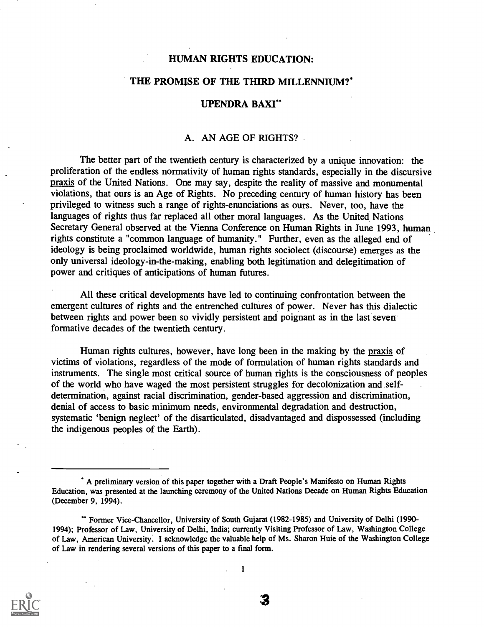#### HUMAN RIGHTS EDUCATION:

### THE PROMISE OF THE THIRD MILLENNIUM?'

## UPENDRA BAXI"

## A. AN AGE OF RIGHTS?

The better part of the twentieth century is characterized by a unique innovation: the proliferation of the endless normativity of human rights standards, especially in the discursive praxis of the United Nations. One may say, despite the reality of massive and monumental violations, that ours is an Age of Rights. No preceding century of human history has been privileged to witness such a range of rights-enunciations as ours. Never, too, have the languages of rights thus far replaced all other moral languages. As the United Nations Secretary General observed at the Vienna Conference on Human Rights in June 1993, human rights constitute a "common language of humanity." Further, even as the alleged end of ideology is being proclaimed worldwide, human rights sociolect (discourse) emerges as the only universal ideology-in-the-making, enabling both legitimation and delegitimation of power and critiques of anticipations of human futures.

All these critical developments have led to continuing confrontation between the emergent cultures of rights and the entrenched cultures of power. Never has this dialectic between rights and power been so vividly persistent and poignant as in the last seven formative decades of the twentieth century.

Human rights cultures, however, have long been in the making by the praxis of victims of violations, regardless of the mode of formulation of human rights standards and instruments. The single most critical source of human rights is the consciousness of peoples of the world who have waged the most persistent struggles for decolonization and selfdetermination, against racial discrimination, gender-based aggression and discrimination, denial of access to basic minimum needs, environmental degradation and destruction, systematic 'benign neglect' of the disarticulated, disadvantaged and dispossessed (including the indigenous peoples of the Earth).



A preliminary version of this paper together with a Draft People's Manifesto on Human Rights Education, was presented at the launching ceremony of the United Nations Decade on Human Rights Education (December 9, 1994).

Former Vice-Chancellor, University of South Gujarat (1982-1985) and University of Delhi (1990- 1994); Professor of Law, University of Delhi, India; currently Visiting Professor of Law, Washington College of Law, American University. I acknowledge the valuable help of Ms. Sharon Huie of the Washington College of Law in rendering several versions of this paper to a final form.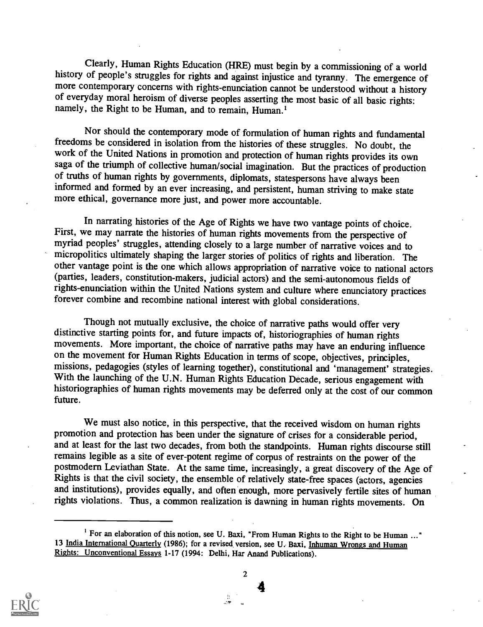Clearly, Human Rights Education (HRE) must begin by a commissioning of a world<br>history of people's struggles for rights and against injustice and tyranny. The emergence of<br>more contemporary concerns with rights-enunciation

Nor should the contemporary mode of formulation of human rights and fundamental freedoms be considered in isolation from the histories of these struggles. No doubt, the work of the United Nations in promotion and protection of human rights provides its own saga of the triumph of collective human/social imagination. But the practices of production of truths of human rights by governments, diplomats, statespersons have always been informed and formed by an ever increasing, and persistent, human striving to make state more ethical, governance more just, and power more accountable.

In narrating histories of the Age of Rights we have two vantage points of choice.<br>First, we may narrate the histories of human rights movements from the perspective of myriad peoples' struggles, attending closely to a larg other vantage point is the one which allows appropriation of narrative voice to national actors (parties, leaders, constitution-makers, judicial actors) and the semi-autonomous fields of rights-enunciation within the United Nations system and culture where enunciatory practices forever combine and recombine national interest with global considerations.

Though not mutually exclusive, the choice of narrative paths would offer very distinctive starting points for, and future impacts of, historiographies of human rights movements. More important, the choice of narrative paths may have an enduring influence on the movement for Human Rights Education in terms of scope, objectives, principles, missions, pedagogies (styles of learning together), constitutional and 'management' strategies. With the launching of the U.N. Human Rights Education Decade, serious engagement with historiographies of human rights movements may be deferred only at the cost of our common future.

We must also notice, in this perspective, that the received wisdom on human rights promotion and protection has been under the signature of crises for a considerable period, and at least for the last two decades, from both the standpoints. Human rights discourse still remains legible as a site of ever-potent regime of corpus of restraints on the power of the postmodern Leviathan State. At the same time, increasingly, a great discovery of the Age of Rights is that the civil society, the ensemble of relatively state-free spaces (actors, agencies and institutions), provides equally, and often enough, more pervasively fertile sites of human rights violations. Thus, a common realization is dawning in human rights movements. On



2

<sup>&</sup>lt;sup>1</sup> For an elaboration of this notion, see U. Baxi, "From Human Rights to the Right to be Human ..." 13 India International Quarterly (1986); for a revised version, see U. Baxi, Inhuman Wrongs and Human Rights: Unconventional Essays 1-17 (1994: Delhi, Har Anand Publications).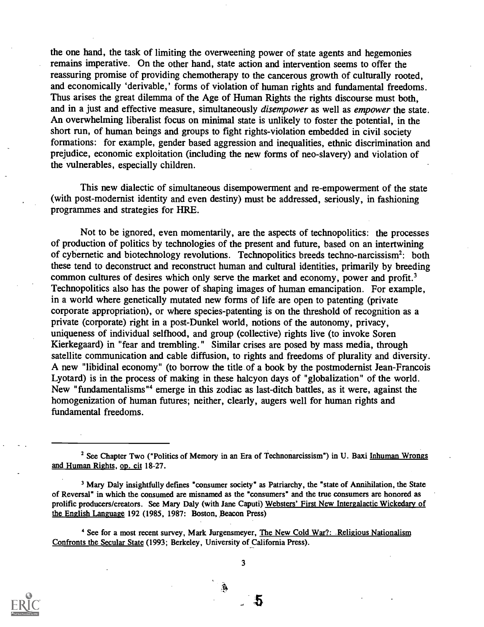the one hand, the task of limiting the overweening power of state agents and hegemonies remains imperative. On the other hand, state action and intervention seems to offer the reassuring promise of providing chemotherapy to the cancerous growth of culturally rooted, and economically 'derivable,' forms of violation of human rights and fundamental freedoms. Thus arises the great dilemma of the Age of Human Rights the rights discourse must both, and in a just and effective measure, simultaneously *disempower* as well as *empower* the state. An overwhelming liberalist focus on minimal state is unlikely to foster the potential, in the short run, of human beings and groups to fight rights-violation embedded in civil society formations: for example, gender based aggression and inequalities, ethnic discrimination and prejudice, economic exploitation (including the new forms of neo-slavery) and violation of the vulnerables, especially children.

This new dialectic of simultaneous disempowerment and re-empowerment of the state (with post-modernist identity and even destiny) must be addressed, seriously, in fashioning programmes and strategies for HRE.

Not to be ignored, even momentarily, are the aspects of technopolitics: the processes of production of politics by technologies of the present and future, based on an intertwining of cybernetic and biotechnology revolutions. Technopolitics breeds techno-narcissism2: both these tend to deconstruct and reconstruct human and cultural identities, primarily by breeding common cultures of desires which only serve the market and economy, power and profit.<sup>3</sup> Technopolitics also has the power of shaping images of human emancipation. For example, in a world where genetically mutated new forms of life are open to patenting (private corporate appropriation), or where species-patenting is on the threshold of recognition as a private (corporate) right in a post-Dunkel world, notions of the autonomy, privacy, uniqueness of individual selfhood, and group (collective) rights live (to invoke Soren Kierkegaard) in "fear and trembling." Similar crises are posed by mass media, through satellite communication and cable diffusion, to rights and freedoms of plurality and diversity. A new "libidinal economy" (to borrow the title of a book by the postmodernist Jean-Francois Lyotard) is in the process of making in these halcyon days of "globalization" of the world. New "fundamentalisms "4 emerge in this zodiac as last-ditch battles, as it were, against the homogenization of human futures; neither, clearly, augers well for human rights and fundamental freedoms.

Â



<sup>&</sup>lt;sup>2</sup> See Chapter Two ("Politics of Memory in an Era of Technonarcissism") in U. Baxi Inhuman Wrongs and Human Rights, op. cit 18-27.

<sup>3</sup> Mary Daly insightfully defines "consumer society" as Patriarchy, the "state of Annihilation, the State of Reversal" in which the consumed are misnamed as the "consumers" and the true consumers are honored as prolific producers/creators. See Mary Daly (with Jane Caputi) Websters' First New Intergalactic Wickedary of the English Language 192 (1985, 1987: Boston, Beacon Press)

<sup>&</sup>lt;sup>4</sup> See for a most recent survey, Mark Jurgensmeyer, The New Cold War?: Religious Nationalism Confronts the Secular State (1993; Berkeley, University of California Press).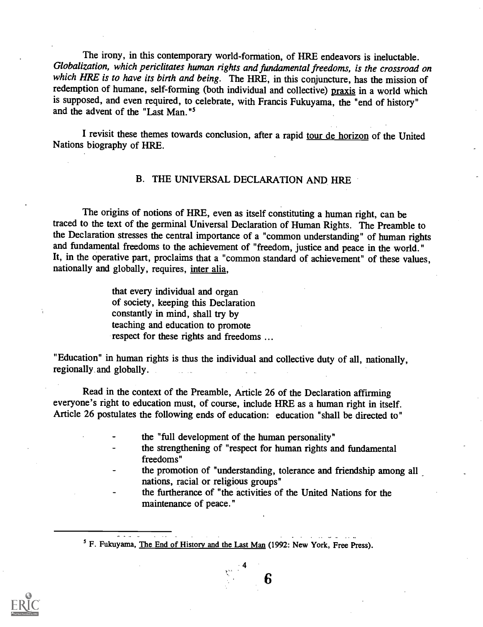The irony, in this contemporary world-formation, of HRE endeavors is ineluctable. Globalization, which periclitates human rights and fundamental freedoms, is the crossroad on which HRE is to have its birth and being. The HRE, in this conjuncture, has the mission of redemption of humane, self-forming (both individual and collective) praxis in a world which is supposed, and even required, to celebrate, with Francis Fukuyama, the "end of history" and the advent of the "Last Man."<sup>5</sup>

I revisit these themes towards conclusion, after a rapid tour de horizon of the United Nations biography of HRE.

#### B. THE UNIVERSAL DECLARATION AND HRE

The origins of notions of HRE, even as itself constituting a human right, can be traced to the text of the germinal Universal Declaration of Human Rights. The Preamble to the Declaration stresses the central importance of a "common understanding" of human rights and fundamental freedoms to the achievement of "freedom, justice and peace in the world." It, in the operative part, proclaims that a "common standard of achievement" of these values, nationally and globally, requires, inter alia,

> that every individual and organ of society, keeping this Declaration constantly in mind, shall try by teaching and education to promote respect for these rights and freedoms ...

"Education" in human rights is thus the individual and collective duty of all, nationally, regionally and globally.

Read in the context of the Preamble, Article 26 of the Declaration affirming everyone's right to education must, of course, include HRE as a human right in itself. Article 26 postulates the following ends of education: education "shall be directed to"

- the "full development of the human personality"
- the strengthening of "respect for human rights and fundamental freedoms"
- the promotion of "understanding, tolerance and friendship among all nations, racial or religious groups"

6

the furtherance of "the activities of the United Nations for the maintenance of peace."



<sup>&</sup>lt;sup>5</sup> F. Fukuyama, The End of History and the Last Man (1992: New York, Free Press).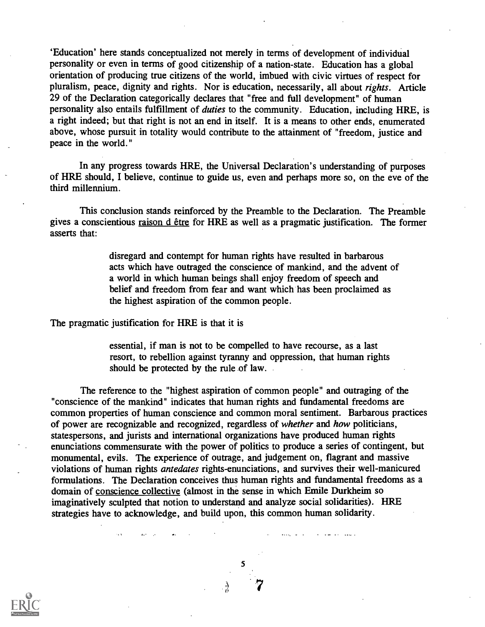`Education' here stands conceptualized not merely in terms of development of individual personality or even in terms of good citizenship of a nation-state. Education has a global orientation of producing true citizens of the world, imbued with civic virtues of respect for pluralism, peace, dignity and rights. Nor is education, necessarily, all about rights. Article 29 of the Declaration categorically declares that "free and full development" of human personality also entails fulfillment of duties to the community. Education, including HRE, is a right indeed; but that right is not an end in itself. It is a means to other ends, enumerated above, whose pursuit in totality would contribute to the attainment of "freedom, justice and peace in the world."

In any progress towards HRE, the Universal Declaration's understanding of purposes of HRE should, I believe, continue to guide us, even and perhaps more so, on the eve of the third millennium.

This conclusion stands reinforced by the Preamble to the Declaration. The Preamble gives a conscientious raison d être for HRE as well as a pragmatic justification. The former asserts that:

> disregard and contempt for human rights have resulted in barbarous acts which have outraged the conscience of mankind, and the advent of a world in which human beings shall enjoy freedom of speech and belief and freedom from fear and want which has been proclaimed as the highest aspiration of the common people.

The pragmatic justification for HRE is that it is

essential, if man is not to be compelled to have recourse, as a last resort, to rebellion against tyranny and oppression, that human rights should be protected by the rule of law.

The reference to the "highest aspiration of common people" and outraging of the "conscience of the mankind" indicates that human rights and fundamental freedoms are common properties of human conscience and common moral sentiment. Barbarous practices of power are recognizable and recognized, regardless of whether and how politicians, statespersons, and jurists and international organizations have produced human rights enunciations commensurate with the power of politics to produce a series of contingent, but monumental, evils. The experience of outrage, and judgement on, flagrant and massive violations of human rights antedates rights-enunciations, and survives their well-manicured formulations. The Declaration conceives thus human rights and fundamental freedoms as a domain of conscience collective (almost in the sense in which Emile Durkheim so imaginatively sculpted that notion to understand and analyze social solidarities). HRE strategies have to acknowledge, and build upon, this common human solidarity.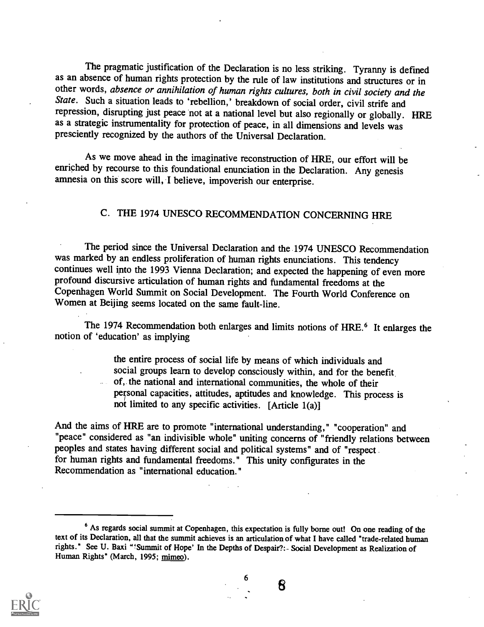The pragmatic justification of the Declaration is no less striking. Tyranny is defined as an absence of human rights protection by the rule of law institutions and structures or in other words, absence or annihilation of human rights cultures, both in civil society and the State. Such a situation leads to 'rebellion,' breakdown of social order, civil strife and repression, disrupting just peace not at a national level but also regionally or globally. HRE as a strategic instrumentality for protection of peace, in all dimensions and levels was presciently recognized by the authors of the Universal Declaration.

As we move ahead in the imaginative reconstruction of HRE, our effort will be enriched by recourse to this foundational enunciation in the Declaration. Any genesis amnesia on this score will, I believe, impoverish our enterprise.

# C. THE 1974 UNESCO RECOMMENDATION CONCERNING HRE

The period since the Universal Declaration and the 1974 UNESCO Recommendation was marked by an endless proliferation of human rights enunciations. This tendency continues well into the 1993 Vienna Declaration; and expected the happening of even more profound discursive articulation of human rights and fundamental freedoms at the Copenhagen World Summit on Social Development. The Fourth World Conference on Women at Beijing seems located on the same fault-line.

The 1974 Recommendation both enlarges and limits notions of HRE.<sup>6</sup> It enlarges the notion of 'education' as implying

the entire process of social life by means of which individuals and social groups learn to develop consciously within, and for the benefit of,. the national and international communities, the whole of their personal capacities, attitudes, aptitudes and knowledge. This process is not limited to any specific activities. [Article 1(a)]

And the aims of HRE are to promote "international understanding," "cooperation" and "peace" considered as "an indivisible whole" uniting concerns of "friendly relations between peoples and states having different social and political systems" and of "respect . for human rights and fundamental freedoms." This unity configurates in the Recommendation as "international education."

6



<sup>&</sup>lt;sup>6</sup> As regards social summit at Copenhagen, this expectation is fully borne out! On one reading of the text of its Declaration, all that the summit achieves is an articulation of what I have called "trade-related human rights." See U. Baxi "!Summit of Hope' In the Depths of Despair?:- Social Development as Realization of Human Rights" (March, 1995; mimeo).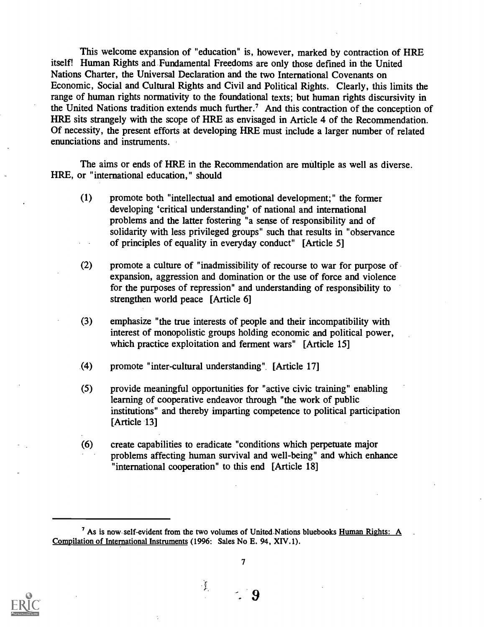This welcome expansion of "education" is, however, marked by contraction of HRE itself! Human Rights and. Fundamental Freedoms are only those defined in the United Nations Charter, the Universal Declaration and the two International Covenants on Economic, Social and Cultural Rights and Civil and Political Rights. Clearly, this limits the range of human rights normativity to the foundational texts; but human rights discursivity in the United Nations tradition extends much further.' And this contraction of the conception of HRE sits strangely with the scope of HRE as envisaged in Article 4 of the Recommendation. Of necessity, the present efforts at developing HRE must include a larger number of related enunciations and instruments.

The aims or ends of HRE in the Recommendation are multiple as well as diverse. HRE, or "international education," should

- (1) promote both "intellectual and emotional development;" the former developing 'critical understanding' of national and international problems and the latter fostering "a sense of responsibility and of solidarity with less privileged groups" such that results in "observance of principles of equality in everyday conduct" [Article 5]
- (2) promote a culture of "inadmissibility of recourse to war for purpose of expansion, aggression and domination or the use of force and violence for the purposes of repression" and understanding of responsibility to strengthen world peace [Article 6]
- (3) emphasize "the true interests of people and their incompatibility with interest of monopolistic groups holding economic and political power, which practice exploitation and ferment wars" [Article 15]
- (4) promote "inter-cultural understanding ". [Article 17]
- (5) provide meaningful opportunities for "active civic training" enabling learning of cooperative endeavor through "the work of public institutions" and thereby imparting competence to political participation [Article 13]
- (6) create capabilities to eradicate "conditions which perpetuate major problems affecting human survival and well-being" and which enhance "international cooperation" to this end [Article 18]

 $\frac{1}{2}$ 



<sup>&</sup>lt;sup>7</sup> As is now self-evident from the two volumes of United Nations bluebooks Human Rights: A Compilation of International Instruments (1996: Sales No E. 94, XIV.1).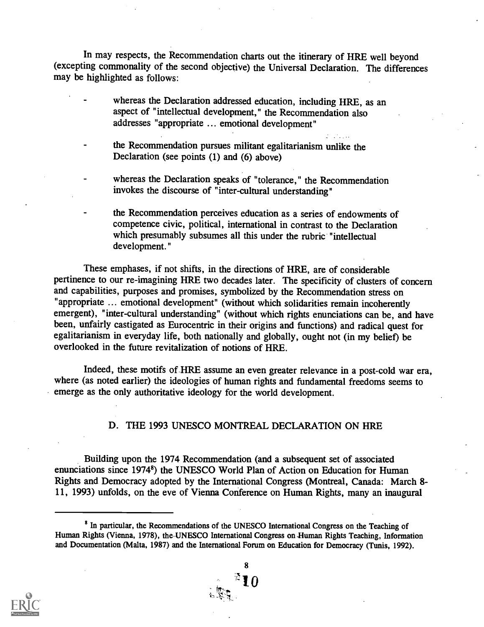In may respects, the Recommendation charts out the itinerary of HRE well beyond (excepting commonality of the second objective) the Universal Declaration. The differences may be highlighted as follows:

- whereas the Declaration addressed education, including HRE, as an aspect of "intellectual development," the Recommendation also addresses "appropriate ... emotional development"
- the Recommendation pursues militant egalitarianism unlike the Declaration (see points (1) and (6) above)
- whereas the Declaration speaks of "tolerance," the Recommendation invokes the discourse of "inter-cultural understanding"

the Recommendation perceives education as a series of endowments of competence civic, political, international in contrast to the Declaration which presumably subsumes all this under the rubric "intellectual development."

These emphases, if not shifts, in the directions of HRE, are of considerable pertinence to our re-imagining HRE two decades later. The specificity of clusters of concern and capabilities, purposes and promises, symbolized by the Recommendation stress on "appropriate ... emotional development" (without which solidarities remain incoherently emergent), "inter-cultural understanding" (without which rights enunciations can be, and have been, unfairly castigated as Eurocentric in their origins and functions) and radical quest for egalitarianism in everyday life, both nationally and globally, ought not (in my belief) be overlooked in the future revitalization of notions of HRE.

Indeed, these motifs of HRE assume an even greater relevance in a post-cold war era, where (as noted earlier) the ideologies of human rights and fundamental freedoms seems to emerge as the only authoritative ideology for the world development.

## D. THE 1993 UNESCO MONTREAL DECLARATION ON HRE

Building upon the 1974 Recommendation (and a subsequent set of associated enunciations since 19748) the UNESCO World Plan of Action on Education for Human Rights and Democracy adopted by the International Congress (Montreal, Canada: March 8- 11, 1993) unfolds, on the eve of Vienna Conference on Human Rights, many an inaugural



<sup>&</sup>lt;sup>8</sup> In particular, the Recommendations of the UNESCO International Congress on the Teaching of Human Rights (Vienna, 1978), the UNESCO International Congress on Human Rights Teaching, Information and Documentation (Malta, 1987) and the International Forum on Education for Democracy (Tunis, 1992).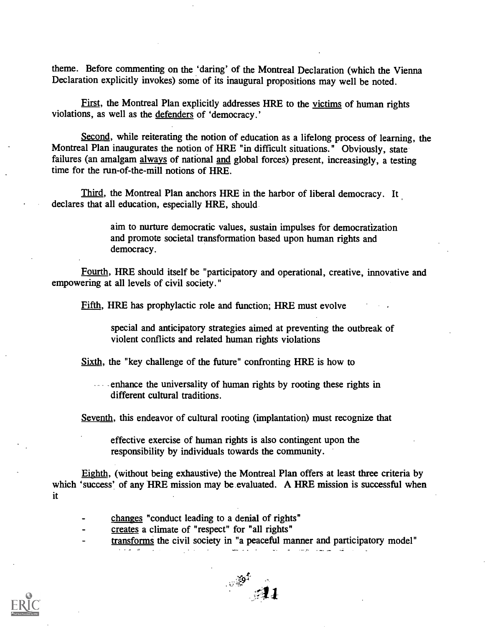theme. Before commenting on the 'daring' of the Montreal Declaration (which the Vienna Declaration explicitly invokes) some of its inaugural propositions may well be noted.

First, the Montreal Plan explicitly addresses HRE to the victims of human rights violations, as well as the defenders of 'democracy.'

Second, while reiterating the notion of education as a lifelong process of learning, the Montreal Plan inaugurates the notion of HRE "in difficult situations." Obviously, state failures (an amalgam always of national and global forces) present, increasingly, a testing time for the run-of-the-mill notions of HRE.

Third, the Montreal Plan anchors HRE in the harbor of liberal democracy. It declares that all education, especially HRE, should

> aim to nurture democratic values, sustain impulses for democratization and promote societal transformation based upon human rights and democracy.

Fourth, HRE should itself be "participatory and operational, creative, innovative and empowering at all levels of civil society."

Fifth, HRE has prophylactic role and function; HRE must evolve

special and anticipatory strategies aimed at preventing the outbreak of violent conflicts and related human rights violations

Sixth, the "key challenge of the future" confronting HRE is how to

enhance the universality of human rights by rooting these rights in different cultural traditions.

Seventh, this endeavor of cultural rooting (implantation) must recognize that

effective exercise of human rights is also contingent upon the responsibility by individuals towards the community.

Eighth, (without being exhaustive) the Montreal Plan offers at least three criteria by which 'success' of any HRE mission may be evaluated. A HRE mission is successful when it

- changes "conduct leading to a denial of rights"
- creates a climate of "respect" for "all rights"
- transforms the civil society in "a peaceful manner and participatory model"

المنابيب المنابين للملا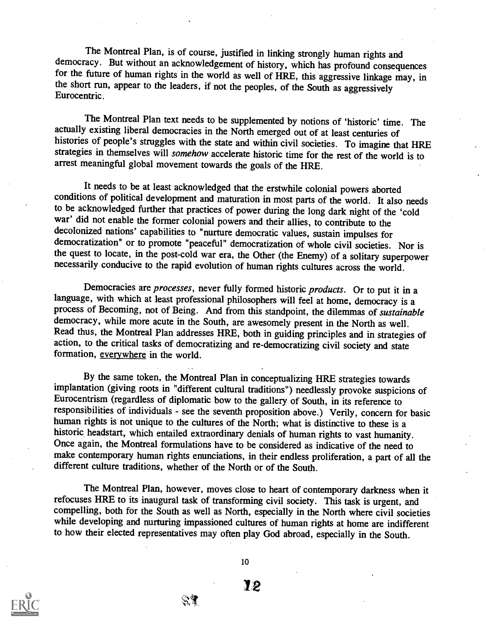The Montreal Plan, is of course, justified in linking strongly human rights and democracy. But without an acknowledgement of history, which has profound consequences for the future of human rights in the world as well of HRE, this aggressive linkage may, in the short run, appear to the leaders, if not the peoples, of the South as aggressively Eurocentric.

The Montreal Plan text needs to be supplemented by notions of 'historic' time. The actually existing liberal democracies in the North emerged out of at least centuries of histories of people's struggles with the state and within civil societies. To imagine that HRE strategies in themselves will somehow accelerate historic time for the rest of the world is to arrest meaningful global movement towards the goals of the HRE.

It needs to be at least acknowledged that the erstwhile colonial powers aborted conditions of political development and maturation in most parts of the world. It also needs to be acknowledged further that practices of power during the long dark night of the 'cold war' did not enable the former colonial powers and their allies, to contribute to the decolonized nations' capabilities to "nurture democratic values, sustain impulses for democratization" or to promote "peaceful" democratization of whole civil societies. Nor is the quest to locate, in the post-cold war era, the Other (the Enemy) of a solitary superpower necessarily conducive to the rapid evolution of human rights cultures across the world.

Democracies are processes, never fully formed historic products. Or to put it in a language, with which at least professional philosophers will feel at home, democracy is a process of Becoming, not of Being. And from this standpoint, the dilemmas of sustainable democracy, while more acute in the South, are awesomely present in the North as well.<br>Read thus, the Montreal Plan addresses HRE, both in guiding principles and in strategies of action, to the critical tasks of democratizing and re-democratizing civil society and state formation, everywhere in the world.

By the same token, the Montreal Plan in conceptualizing HRE strategies towards implantation (giving roots in "different cultural traditions") needlessly provoke suspicions of Eurocentrism (regardless of diplomatic bow to the gallery of South, in its reference to responsibilities of individuals - see the seventh proposition above.) Verily, concern for basic human rights is not unique to the cultures of the North; what is distinctive to these is a historic headstart, which entailed extraordinary denials of human rights to vast humanity. Once again, the Montreal formulations have to be considered as indicative of the need to make contemporary human rights enunciations, in their endless proliferation, a part of all the different culture traditions, whether of the North or of the South.

The Montreal Plan, however, moves close to heart of contemporary darkness when it refocuses HRE to its inaugural task of transforming civil society. This task is urgent, and compelling, both for the South as well as North, especially in the North where civil societies while developing and nurturing impassioned cultures of human rights at home are indifferent to how their elected representatives may often play God abroad, especially in the South.



10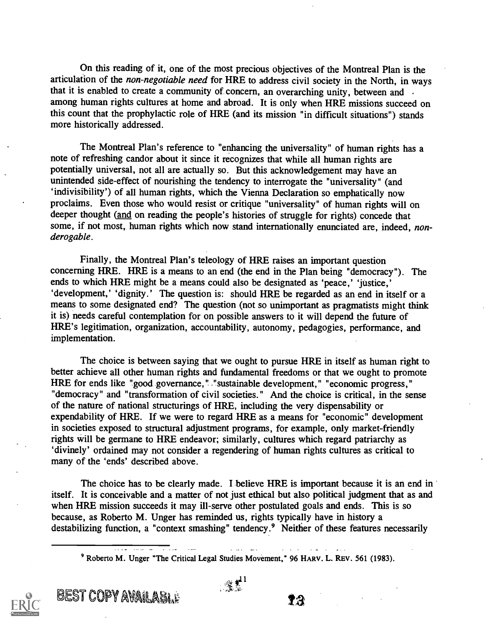On this reading of it, one of the most precious objectives of the Montreal Plan is the articulation of the *non-negotiable need* for HRE to address civil society in the North, in ways that it is enabled to create a community of concern, an overarching unity, between and among human rights cultures at home and abroad. It is only when HRE missions succeed on this count that the prophylactic role of HRE (and its mission "in difficult situations") stands more historically addressed.

The Montreal Plan's reference to "enhancing the universality" of human rights has a note of refreshing candor about it since it recognizes that while all human rights are potentially universal, not all are actually so. But this acknowledgement may have an unintended side-effect of nourishing the tendency to interrogate the "universality" (and `indivisibility') of all human rights, which the Vienna Declaration so emphatically now proclaims. Even those who would resist or critique "universality" of human rights will on deeper thought (and on reading the people's histories of struggle for rights) concede that some, if not most, human rights which now stand internationally enunciated are, indeed, nonderogable.

Finally, the Montreal Plan's teleology of HRE raises an important question concerning HRE. HRE is a means to an end (the end in the Plan being "democracy"). The ends to which HRE might be a means could also be designated as 'peace,' 'justice,' `development,' dignity.' The question is: should HRE be regarded as an end in itself or a means to some designated end? The question (not so unimportant as pragmatists might think it is) needs careful contemplation for on possible answers to it will depend the future of HRE's legitimation, organization, accountability, autonomy, pedagogies, performance, and implementation.

The choice is between saying that we ought to pursue HRE in itself as human right to better achieve all other human rights and fundamental freedoms or that we ought to promote HRE for ends like "good governance, ". "sustainable development," "economic progress," "democracy" and "transformation of civil societies." And the choice is critical, in the sense of the nature of national structurings of HRE, including the very dispensability or expendability of HRE. If we were to regard HRE as a means for "economic" development in societies exposed to structural adjustment programs, for example, only market-friendly rights will be germane to HRE endeavor; similarly, cultures which regard patriarchy as `divinely' ordained may not consider a regendering of human rights cultures as critical to many of the 'ends' described above.

The choice has to be clearly made. I believe HRE is important because it is an end in itself. It is conceivable and a matter of not just ethical but also political judgment that as and when HRE mission succeeds it may ill-serve other postulated goals and ends. This is so because, as Roberto M. Unger has reminded us, rights typically have in history a destabilizing function, a "context smashing" tendency.<sup>9</sup> Neither of these features necessarily

9 Roberto M. Unger "The Critical Legal Studies Movement," 96 HARV. L. REV. 561 (1983).

BEST COPY AVAILABLE  $\mathbf{B}$ 

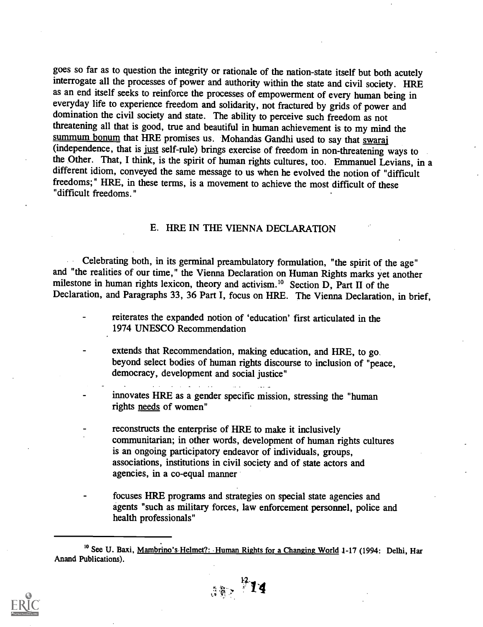goes so far as to question the integrity or rationale of the nation-state itself but both acutely interrogate all the processes of power and authority within the state and civil society. HRE as an end itself seeks to reinforce the processes of empowerment of every human being in everyday life to experience freedom and solidarity, not fractured by grids of power and domination the civil society and state. The ability to perceive such freedom as not threatening all that is good, true and beautiful in human achievement is to my mind the summum bonum that HRE promises us. Mohandas Gandhi used to say that swaraj (independence, that is just self-rule) brings exercise of freedom in non-threatening ways to the Other. That, I think, is the spirit of human rights cultures, too. Emmanuel Levians, in a different idiom, conveyed the same message to us when he evolved the notion of "difficult freedoms;" HRE, in these terms, is a movement to achieve the most difficult of these "difficult freedoms."

## E. HRE IN THE VIENNA DECLARATION

Celebrating both, in its germinal preambulatory formulation, "the spirit of the age" and "the realities of our time," the Vienna Declaration on Human Rights marks yet another milestone in human rights lexicon, theory and activism.<sup>10</sup> Section D, Part II of the Declaration, and Paragraphs 33, 36 Part I, focus on HRE. The Vienna Declaration, in brief,

- reiterates the expanded notion of 'education' first articulated in the 1974 UNESCO Recommendation
- extends that Recommendation, making education, and HRE, to go. beyond select bodies of human rights discourse to inclusion of "peace, democracy, development and social justice"
- innovates HRE as a gender specific mission, stressing the "human rights needs of women"
- reconstructs the enterprise of HRE to make it inclusively communitarian; in other words, development of human rights cultures is an ongoing participatory endeavor of individuals, groups, associations, institutions in civil society and of state actors and agencies, in a co-equal manner
- focuses HRE programs and strategies on special state agencies and agents "such as military forces, law enforcement personnel, police and health professionals"

 $382 \frac{12}{14}$ 



<sup>&</sup>lt;sup>10</sup> See U. Baxi, Mambrino's Helmet?: Human Rights for a Changing World 1-17 (1994: Delhi, Har Anand Publications).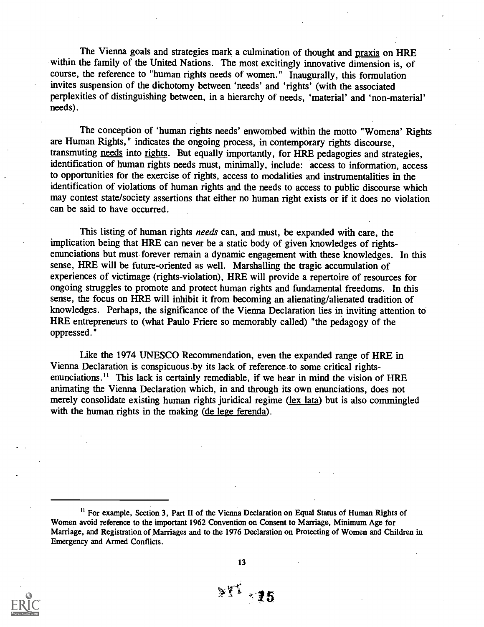The Vienna goals and strategies mark a culmination of thought and praxis on HRE within the family of the United Nations. The most excitingly innovative dimension is, of course, the reference to "human rights needs of women." Inaugurally, this formulation invites suspension of the dichotomy between 'needs' and 'rights' (with the associated perplexities of distinguishing between, in a hierarchy of needs, 'material' and 'non-material' needs).

The conception of 'human rights needs' enwombed within the motto "Womens' Rights are Human Rights," indicates the ongoing process, in contemporary rights discourse, transmuting needs into rights. But equally importantly, for HRE pedagogies and strategies, identification of human rights needs must, minimally, include: access to information, access to opportunities for the exercise of rights, access to modalities and instrumentalities in the identification of violations of human rights and the needs to access to public discourse which may contest state/society assertions that either no human right exists or if it does no violation can be said to have occurred.

This listing of human rights needs can, and must, be expanded with care, the implication being that HRE can never be a static body of given knowledges of rightsenunciations but must forever remain a dynamic engagement with these knowledges. In this sense, HRE will be future-oriented as well. Marshalling the tragic accumulation of experiences of victimage (rights-violation), HRE will provide a repertoire of resources for ongoing struggles to promote and protect human rights and fundamental freedoms. In this sense, the focus on HRE will inhibit it from becoming an alienating/alienated tradition of knowledges. Perhaps, the significance of the Vienna Declaration lies in inviting attention to HRE entrepreneurs to (what Paulo Friere so memorably called) "the pedagogy of the oppressed."

Like the 1974 UNESCO Recommendation, even the expanded range of HRE in Vienna Declaration is conspicuous by its lack of reference to some critical rightsenunciations.<sup>11</sup> This lack is certainly remediable, if we bear in mind the vision of HRE animating the Vienna Declaration which, in and through its own enunciations, does not merely consolidate existing human rights juridical regime (lex lata) but is also commingled with the human rights in the making (de lege ferenda).

<sup>11</sup> For example, Section 3, Part II of the Vienna Declaration on Equal Status of Human Rights of Women avoid reference to the important 1962 Convention on Consent to Marriage, Minimum Age for Marriage, and Registration of Marriages and to-the 1976 Declaration on Protecting of Women and Children in Emergency and Armed Conflicts.



13

 $\mathbb{M}^1$  15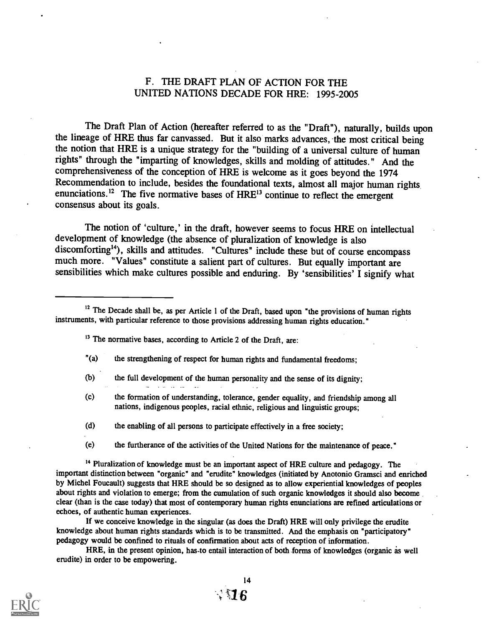## F. THE DRAFT PLAN OF ACTION FOR THE UNITED NATIONS DECADE FOR HRE: 1995-2005

The Draft Plan of Action (hereafter referred to as the "Draft"), naturally, builds upon the lineage of HRE thus far canvassed. But it also marks advances, the most critical being the notion that HRE is a unique strategy for the "building of a universal culture of human rights" through the "imparting of knowledges, skills and molding of attitudes." And the comprehensiveness of the conception of HRE is welcome as it goes beyond the 1974 Recommendation to include, besides the foundational texts, almost all major human rights. enunciations.<sup>12</sup> The five normative bases of  $HRE<sup>13</sup>$  continue to reflect the emergent consensus about its goals.

The notion of 'culture,' in the draft, however seems to focus HRE on intellectual development of knowledge (the absence of pluralization of knowledge is also discomforting<sup>14</sup>), skills and attitudes. "Cultures" include these but of course encompass much more. "Values" constitute a salient part of cultures. But equally important are sensibilities which make cultures possible and enduring. By 'sensibilities' I signify what

<sup>13</sup> The normative bases, according to Article 2 of the Draft, are:

- "(a) the strengthening of respect for human rights and fundamental freedoms;
- (b) the full development of the human personality and the sense of its dignity;  $\sim 10^7$
- (c) the formation of understanding, tolerance, gender equality, and friendship among all nations, indigenous peoples, racial ethnic, religious and linguistic groups;
- (d) the enabling of all persons to participate effectively in a free society;
- (e) the furtherance of the activities of the United Nations for the maintenance of peace."

<sup>14</sup> Pluralization of knowledge must be an important aspect of HRE culture and pedagogy. The important distinction between "organic" and "erudite" knowledges (initiated by Antonio Gramsci and enriched by Michel Foucault) suggests that HRE should be so designed as to allow experiential knowledges of peoples about rights and violation to emerge; from the cumulation of such organic knowledges it should also become clear (than is the case today) that most of contemporary human rights enunciations are refined articulations or echoes, of authentic human experiences.

If we conceive knowledge in the singular (as does the Draft) HRE will only privilege the erudite knowledge about human rights standards which is to be transmitted. And the emphasis on "participatory" pedagogy would be confined to rituals of confirmation about acts of reception of information.

HRE, in the present opinion, has-to entail interaction of both forms of knowledges (organic as well erudite) in order to be empowering.



 $12$  The Decade shall be, as per Article 1 of the Draft, based upon "the provisions of human rights instruments, with particular reference to those provisions addressing human rights education."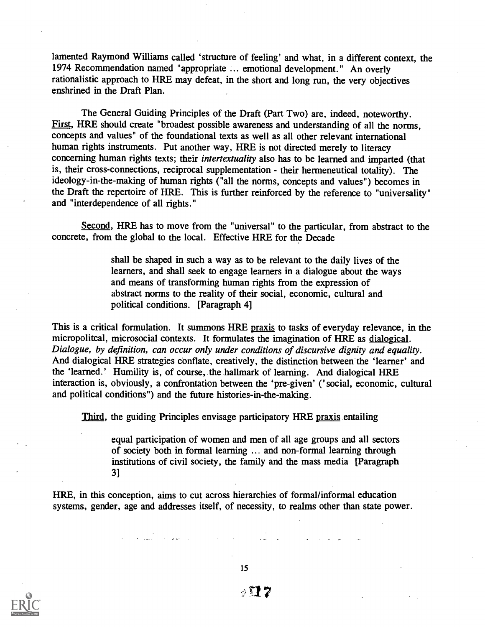lamented Raymond Williams called 'structure of feeling' and what, in a different context, the 1974 Recommendation named "appropriate ... emotional development." An overly rationalistic approach to HRE may defeat, in the short and long run, the very objectives enshrined in the Draft Plan.

The General Guiding Principles of the Draft (Part Two) are, indeed, noteworthy. First, HRE should create "broadest possible awareness and understanding of all the norms, concepts and values" of the foundational texts as well as all other relevant international human rights instruments. Put another way, HRE is not directed merely to literacy concerning human rights texts; their intertextuality also has to be learned and imparted (that is, their cross-connections, reciprocal supplementation - their hermeneutical totality). The ideology-in-the-making of human rights ("all the norms, concepts and values") becomes in the Draft the repertoire of HRE. This is further reinforced by the reference to "universality" and "interdependence of all rights."

Second, HRE has to move from the "universal" to the particular, from abstract to the concrete, from the global to the local. Effective HRE for the Decade

> shall be shaped in such a way as to be relevant to the daily lives of the learners, and shall seek to engage learners in a dialogue about the ways and means of transforming human rights from the expression of abstract norms to the reality of their social, economic, cultural and political conditions. [Paragraph 4]

This is a critical formulation. It summons HRE praxis to tasks of everyday relevance, in the micropolitcal, microsocial contexts. It formulates the imagination of HRE as dialogical. Dialogue, by definition, can occur only under conditions of discursive dignity and equality. And dialogical HRE strategies conflate, creatively, the distinction between the 'learner' and the 'learned.' Humility is, of course, the hallmark of learning. And dialogical HRE interaction is, obviously, a confrontation between the 'pre-given' ("social, economic, cultural and political conditions") and the future histories-in-the-making.

Third, the guiding Principles envisage participatory HRE praxis entailing

equal participation of women and men of all age groups and all sectors of society both in formal learning ... and non-formal learning through institutions of civil society, the family and the mass media [Paragraph 3]

HRE, in this conception, aims to cut across hierarchies of formal/informal education systems, gender, age and addresses itself, of necessity, to realms other than state power.



15

- 72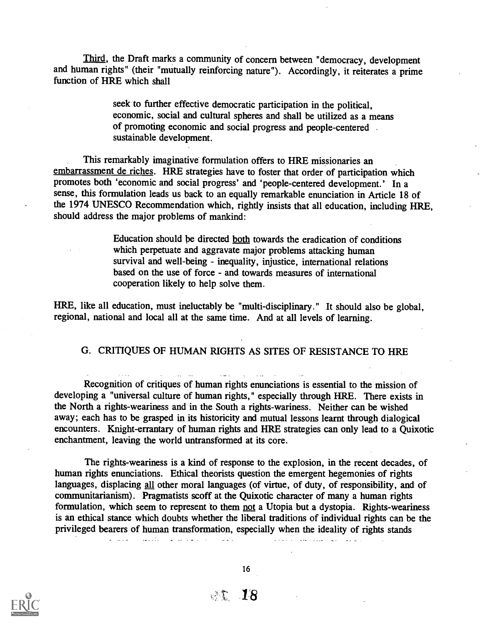Third, the Draft marks a community of concern between "democracy, development and human rights" (their "mutually reinforcing nature"). Accordingly, it reiterates a prime function of HRE which shall

> seek to further effective democratic participation in the political, economic, social and cultural spheres and shall be utilized as a means of promoting economic and social progress and people-centered sustainable development.

This remarkably imaginative formulation offers to HRE missionaries an embarrassment de riches. HRE strategies have to foster that order of participation which promotes both 'economic and social progress' and 'people-centered development.' In a sense, this formulation leads us back to an equally remarkable enunciation in Article 18 of the 1974 UNESCO Recommendation which, rightly insists that all education, including HRE, should address the major problems of mankind:

> Education should be directed both towards the eradication of conditions which perpetuate and aggravate major problems attacking human survival and well-being - inequality, injustice, international relations based on the use of force - and towards measures of international cooperation likely to help solve them.

HRE, like all education, must ineluctably be "multi-disciplinary." It should also be global, regional, national and local all at the same time. And at all levels of learning.

## G. CRITIQUES OF HUMAN RIGHTS AS SITES OF RESISTANCE TO HRE

Recognition of critiques of human rights enunciations is essential to the mission of developing a "universal culture of human rights," especially through HRE. There exists in the North a rights-weariness and in the South a rights-wariness. Neither can be wished away; each has to be grasped in its historicity and mutual lessons learnt through dialogical encounters. Knight-errantary of human rights and HRE strategies can only lead to a Quixotic enchantment, leaving the world untransformed at its core.

The rights-weariness is a kind of response to the explosion, in the recent decades, of human rights enunciations. Ethical theorists question the emergent hegemonies of rights languages, displacing all other moral languages (of virtue, of duty, of responsibility, and of communitarianism). Pragmatists scoff at the Quixotic character of many a human rights formulation, which seem to represent to them not a Utopia but a dystopia. Rights-weariness is an ethical stance which doubts whether the liberal traditions of individual rights can be the privileged bearers of human transformation, especially when the ideality of rights stands



16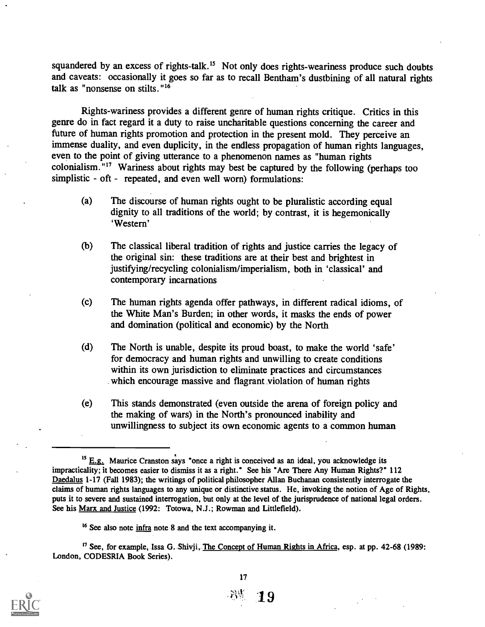squandered by an excess of rights-talk.<sup>15</sup> Not only does rights-weariness produce such doubts and caveats: occasionally it goes so far as to recall Bentham's dustbining of all natural rights talk as "nonsense on stilts."16

Rights-wariness provides a different genre of human rights critique. Critics in this genre do in fact regard it a duty to raise uncharitable questions concerning the career and future of human rights promotion and protection in the present mold. They perceive an immense duality, and even duplicity, in the endless propagation of human rights languages, even to the point of giving utterance to a phenomenon names as "human rights colonialism. <sup>"17</sup> Wariness about rights may best be captured by the following (perhaps too simplistic - oft - repeated, and even well worn) formulations:

- (a) The discourse of human rights ought to be pluralistic according equal dignity to all traditions of the world; by contrast, it is hegemonically `Western'
- (b) The classical liberal tradition of rights and justice carries the legacy of the original sin: these traditions are at their best and brightest in justifying/recycling colonialism/imperialism, both in 'classical' and contemporary incarnations
- (c) The human rights agenda offer pathways, in different radical idioms, of the White Man's Burden; in other words, it masks the ends of power and domination (political and economic) by the North
- (d) The North is unable, despite its proud boast, to make the world 'safe' for democracy and human rights and unwilling to create conditions within its own jurisdiction to eliminate practices and circumstances which encourage massive and flagrant violation of human rights
- (e) This stands demonstrated (even outside the arena of foreign policy and the making of wars) in the North's pronounced inability and unwillingness to subject its own economic agents to a common human

<sup>&</sup>lt;sup>17</sup> See, for example, Issa G. Shivji, The Concept of Human Rights in Africa, esp. at pp. 42-68 (1989: London, CODESRIA Book Series).



 $15$  E.g. Maurice Cranston says "once a right is conceived as an ideal, you acknowledge its impracticality; it becomes easier to dismiss it as a right." See his "Are There Any Human Rights?" 112 Daedalus 1-17 (Fall 1983); the writings of political philosopher Allan Buchanan consistently interrogate the claims of human rights languages to any unique or distinctive status. He, invoking the notion of Age of Rights, puts it to severe and sustained interrogation, but only at the level of the jurisprudence of national legal orders. See his Marx and Justice (1992: Totowa, N.J.; Rowman and Littlefield).

<sup>16</sup> See also note infra note 8 and the text accompanying it.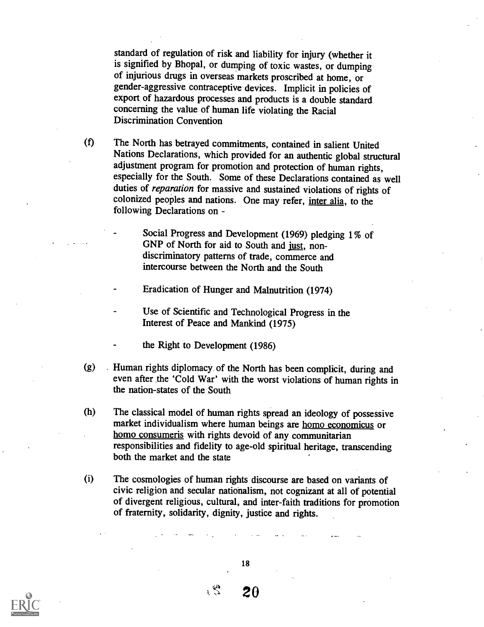standard of regulation of risk and liability for injury (whether it is signified by Bhopal, or dumping of toxic wastes, or dumping of injurious drugs in overseas markets proscribed at home, or gender-aggressive contraceptive devices. Implicit in policies of export of hazardous processes and products is a double standard concerning the value of human life violating the Racial Discrimination Convention

(f) The North has betrayed commitments, contained in salient United Nations Declarations, which provided for an authentic global structural adjustment program for promotion and protection of human rights, especially for the South. Some of these Declarations contained as well duties of reparation for massive and sustained violations of rights of colonized peoples and nations. One may refer, inter alia, to the following Declarations on -

> Social Progress and Development (1969) pledging 1% of GNP of North for aid to South and just, nondiscriminatory patterns of trade, commerce and intercourse between the North and the South

Eradication of Hunger and Malnutrition (1974)

Use of Scientific and Technological Progress in the Interest of Peace and Mankind (1975)

the Right to Development (1986)

(g) Human rights diplomacy of the North has been complicit, during and even after the 'Cold War' with the worst violations of human rights in the nation-states of the South

(h) The classical model of human rights spread an ideology of possessive market individualism where human beings are homo economicus or homo consumeris with rights devoid of any communitarian responsibilities and fidelity to age-old spiritual heritage, transcending both the market and the state

(i) The cosmologies of human rights discourse are based on variants of civic religion and secular nationalism, not cognizant at all of potential of divergent religious, cultural, and inter-faith traditions for promotion of fraternity, solidarity, dignity, justice and rights.

18



20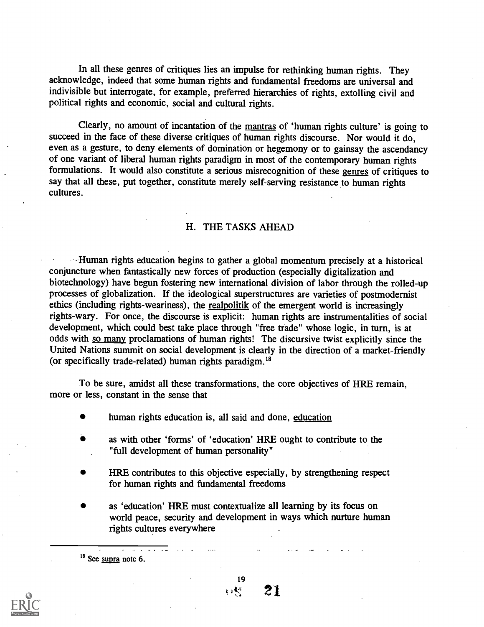In all these genres of critiques lies an impulse for rethinking human rights. They acknowledge, indeed that some human rights and fundamental freedoms are universal and indivisible but interrogate, for example, preferred hierarchies of rights, extolling civil and political rights and economic, social and cultural rights.

Clearly, no amount of incantation of the mantras of 'human rights culture' is going to succeed in the face of these diverse critiques of human rights discourse. Nor would it do, even as a gesture, to deny elements of domination or hegemony or to gainsay the ascendancy of one variant of liberal human rights paradigm in most of the contemporary human rights formulations. It would also constitute a serious misrecognition of these genres of critiques to say that all these, put together, constitute merely self-serving resistance to human rights cultures.

#### H. THE TASKS AHEAD

Human rights education begins to gather a global momentum precisely at a historical conjuncture when fantastically new forces of production (especially digitalization and biotechnology) have begun fostering new international division of labor through the rolled-up processes of globalization. If the ideological superstructures are varieties of postmodernist ethics (including rights-weariness), the realpolitik of the emergent world is increasingly rights-wary. For once, the discourse is explicit: human rights are instrumentalities of social development, which could best take place through "free trade" whose logic, in turn, is at odds with so many proclamations of human rights! The discursive twist explicitly since the United Nations summit on social development is clearly in the direction of a market-friendly (or specifically trade-related) human rights paradigm. 18

To be sure, amidst all these transformations, the core objectives of HRE remain, more or less, constant in the sense that

human rights education is, all said and done, education

- as with other 'forms' of 'education' HRE ought to contribute to the "full development of human personality"
- HRE contributes to this objective especially, by strengthening respect for human rights and fundamental freedoms
- as `education' HRE must contextualize all learning by its focus on world peace, security and development in ways which nurture human rights cultures everywhere

<sup>18</sup> See supra note 6.



19  $E_1$ 21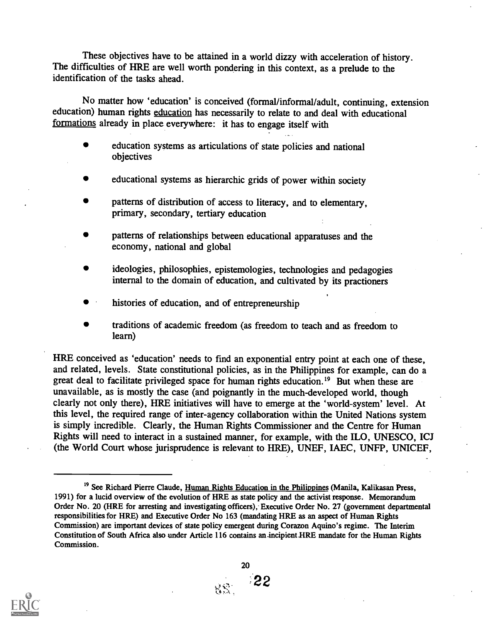These objectives have to be attained in a world dizzy with acceleration of history. The difficulties of HRE are well worth pondering in this context, as a prelude to the identification of the tasks ahead.

No matter how 'education' is conceived (formal/informal/adult, continuing, extension education) human rights education has necessarily to relate to and deal with educational formations already in place everywhere: it has to engage itself with

- education systems as articulations of state policies and national objectives
- educational systems as hierarchic grids of power within society
- patterns of distribution of access to literacy, and to elementary, primary, secondary, tertiary education
- patterns of relationships between educational apparatuses and the economy, national and global
- ideologies, philosophies, epistemologies, technologies and pedagogies internal to the domain of education, and cultivated by its practioners
- histories of education, and of entrepreneurship
- traditions of academic freedom (as freedom to teach and as freedom to learn)

HRE conceived as 'education' needs to find an exponential entry point at each one of these, and related, levels. State constitutional policies, as in the Philippines for example, can do a great deal to facilitate privileged space for human rights education.<sup>19</sup> But when these are unavailable, as is mostly the case (and poignantly in the much-developed world, though clearly not only there), HRE initiatives will have to emerge at the 'world-system' level. At this level, the required range of inter-agency collaboration within the United Nations system is simply incredible. Clearly, the Human Rights Commissioner and the Centre for Human Rights will need to interact in a sustained manner, for example, with the ILO, UNESCO, ICJ (the World Court whose jurisprudence is relevant to HRE), UNEF, IAEC, UNFP, UNICEF,



<sup>&</sup>lt;sup>19</sup> See Richard Pierre Claude, Human Rights Education in the Philippines (Manila, Kalikasan Press, 1991) for a lucid overview of the evolution of HRE as state policy and the activist response. Memorandum Order No. 20 (HRE for arresting and investigating officers); Executive Order No. 27 (government departmental responsibilities for HRE) and Executive Order No 163 (mandating HRE as an aspect of Human Rights Commission) are important devices of state policy emergent during Corazon Aquino's regime. The Interim Constitution of South Africa also under Article 116 contains an-incipient\_HRE mandate for the Human Rights Commission.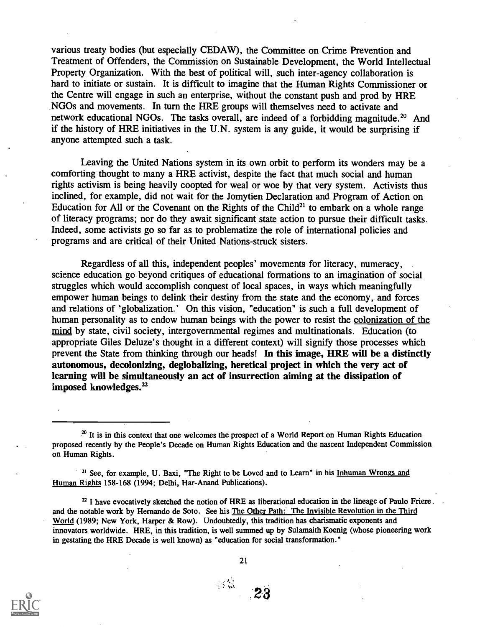various treaty bodies (but especially CEDAW), the Committee on Crime Prevention and Treatment of Offenders, the Commission on Sustainable Development, the World Intellectual Property Organization. With the best of political will, such inter-agency collaboration is hard to initiate or sustain. It is difficult to imagine that the Human Rights Commissioner or the Centre will engage in such an enterprise, without the constant push and prod by HRE .NGOs and movements. In turn the HRE groups will themselves need to activate and network educational NGOs. The tasks overall, are indeed of a forbidding magnitude.<sup>20</sup> And if the history of HRE initiatives in the U.N. system is any guide, it would be surprising if anyone attempted such a task.

Leaving the United Nations system in its own orbit to perform its wonders may be a comforting thought to many a HRE activist, despite the fact that much social and human rights activism is being heavily coopted for weal or woe by that very system. Activists thus inclined, for example, did not wait for the Jomytien Declaration and Program of Action on Education for All or the Covenant on the Rights of the Child<sup>21</sup> to embark on a whole range of literacy programs; nor do they await significant state action to pursue their difficult tasks. Indeed, some activists go so far as to problematize the role of international policies and programs and are critical of their United Nations-struck sisters.

Regardless of all this, independent peoples' movements for literacy, numeracy, science education go beyond critiques of educational formations to an imagination of social struggles which would accomplish conquest of local spaces, in ways which meaningfully empower human beings to delink their destiny from the state and the economy, and forces and relations of 'globalization.' On this vision, "education" is such a full development of human personality as to endow human beings with the power to resist the colonization of the mind by state, civil society, intergovernmental regimes and multinationals. Education (to appropriate Giles Deluze's thought in a different context) will signify those processes which prevent the State from thinking through our heads! In this image, HRE will be a distinctly autonomous, decolonizing, deglobalizing, heretical project in which the very act of learning will be simultaneously an act of insurrection aiming at the dissipation of imposed knowledges.<sup>22</sup>

<sup>21</sup> See, for example, U. Baxi, "The Right to be Loved and to Learn" in his Inhuman Wrongs and Human Rights 158-168 (1994; Delhi, Har-Anand Publications).

 $n<sup>22</sup>$  I have evocatively sketched the notion of HRE as liberational education in the lineage of Paulo Friere. and the notable work by Hernando de Soto. See his The Other Path: The Invisible Revolution in the Third World (1989; New York, Harper & Row). Undoubtedly, this tradition has charismatic exponents and innovators worldwide. HRE, in this tradition, is well summed up by Sulamaith Koenig (whose pioneering work in gestating the HRE Decade is well known) as "education for social transformation."



21

 $\sim 8$ 

<sup>&</sup>lt;sup>20</sup> It is in this context that one welcomes the prospect of a World Report on Human Rights Education proposed recently by the People's Decade on Human Rights Education and the nascent Independent Commission on Human Rights.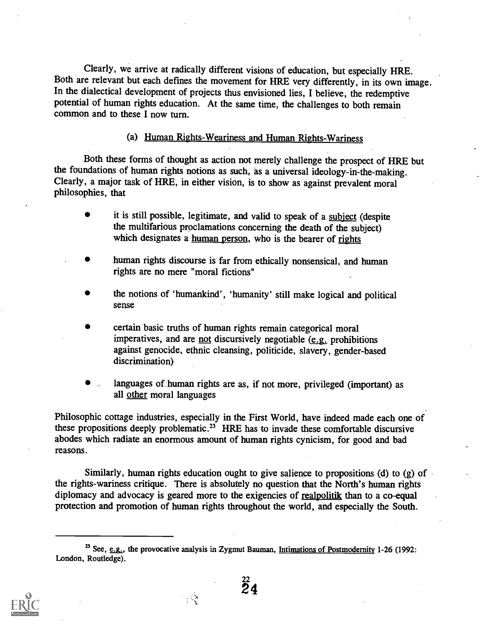Clearly, we arrive at radically different visions of education, but especially HRE. Both are relevant but each defines the movement for HRE very differently, in its own image. In the dialectical development of projects thus envisioned lies, I believe, the redemptive potential of human rights education. At the same time, the challenges to both remain common and to these I now turn.

(a) Human Rights-Weariness and Human Rights-Wariness

Both these forms of thought as action not merely challenge the prospect of HRE but the foundations of human rights notions as such, as a universal ideology-in-the-making. Clearly, a major task of HRE, in either vision, is to show as against prevalent moral philosophies, that

- it is still possible, legitimate, and valid to speak of a subject (despite the multifarious proclamations concerning the death of the subject) which designates a human person, who is the bearer of rights
- human rights discourse is far from ethically nonsensical, and human rights are no mere "moral fictions"
- the notions of 'humankind', 'humanity' still make logical and political sense
- certain basic truths of human rights remain categorical moral imperatives, and are not discursively negotiable (e.g. prohibitions against genocide, ethnic cleansing, politicide, slavery, gender-based discrimination)
- languages of human rights are as, if not more, privileged (important) as all other moral languages

Philosophic cottage industries, especially in the First World, have indeed made each one of these propositions deeply problematic.<sup>23</sup> HRE has to invade these comfortable discursive abodes which radiate an enormous amount of human rights cynicism, for good and bad reasons.

Similarly, human rights education ought to give salience to propositions (d) to (g) of the rights-wariness critique. There is absolutely no question that the North's human rights diplomacy and advocacy is geared more to the exigencies of realpolitik than to a co-equal protection and promotion of human rights throughout the world, and especially the South.

 $\mathcal{L}$ 

 $\frac{22}{24}$ 



<sup>&</sup>lt;sup>23</sup> See, e.g., the provocative analysis in Zygmut Bauman, Intimations of Postmodernity 1-26 (1992: London, Routledge).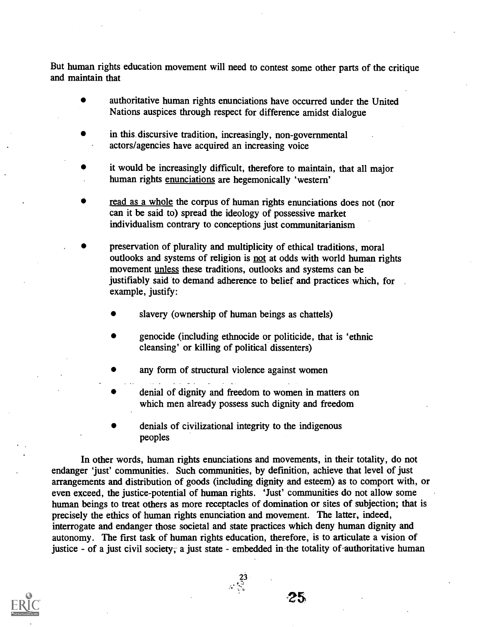But human rights education movement will need to contest some other parts of the critique and maintain that

- authoritative human rights enunciations have occurred under the United Nations auspices through respect for difference amidst dialogue
- in this discursive tradition, increasingly, non-governmental actors/agencies have acquired an increasing voice
- it would be increasingly difficult, therefore to maintain, that all major human rights enunciations are hegemonically 'western'
- read as a whole the corpus of human rights enunciations does not (nor can it be said to) spread the ideology of possessive market individualism contrary to conceptions just communitarianism
- preservation of plurality and multiplicity of ethical traditions, moral outlooks and systems of religion is not at odds with world human rights movement unless these traditions, outlooks and systems can be justifiably said to demand adherence to belief and practices which, for example, justify:
	- slavery (ownership of human beings as chattels)
	- genocide (including ethnocide or politicide, that is 'ethnic cleansing' or killing of political dissenters)
	- any form of structural violence against women
	- denial of dignity and freedom to women in matters on which men already possess such dignity and freedom
	- denials of civilizational integrity to the indigenous peoples

In other words, human rights enunciations and movements, in their totality, do not endanger 'just' communities. Such communities, by definition, achieve that level of just arrangements and distribution of goods (including dignity and esteem) as to comport with, or even exceed, the justice-potential of human rights. 'Just' communities do not allow some human beings to treat others as more receptacles of domination or sites of subjection; that is precisely the ethics of human rights enunciation and movement. The latter, indeed, interrogate and endanger those societal and state practices which deny human dignity and autonomy. The first task of human rights education, therefore, is to articulate a vision of justice - of a just civil society; a just state - embedded in the totality of authoritative human

 $\frac{23}{3}$ 

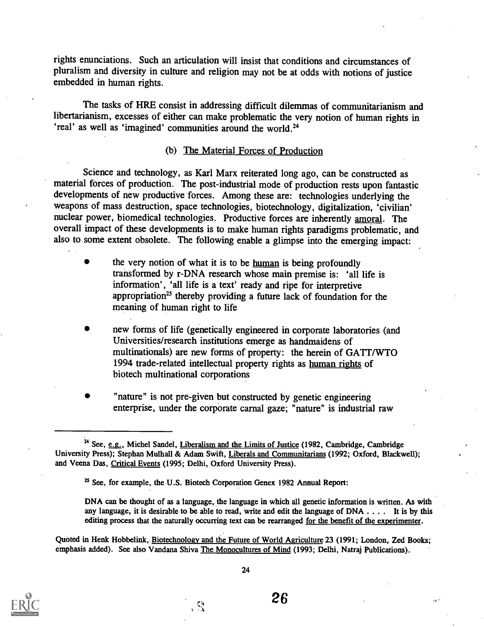rights enunciations. Such an articulation will insist that conditions and circumstances of pluralism and diversity in culture and religion may not be at odds with notions of justice embedded in human rights.

The tasks of HRE consist in addressing difficult dilemmas of communitarianism and libertarianism, excesses of either can make problematic the very notion of human rights in 'real' as well as 'imagined' communities around the world.<sup>24</sup>

#### (b) The Material Forces of Production

Science and technology, as Karl Marx reiterated long ago, can be constructed as material forces of production. The post-industrial mode of production rests upon fantastic developments of new productive forces. Among these are: technologies underlying the weapons of mass destruction, space technologies, biotechnology, digitalization, 'civilian' nuclear power, biomedical technologies. Productive forces are inherently amoral. The overall impact of these developments is to make human rights paradigms problematic, and also to some extent obsolete. The following enable a glimpse into the emerging impact:

- the very notion of what it is to be human is being profoundly transformed by r-DNA research whose main premise is: 'all life is information', 'all life is a text' ready and ripe for interpretive appropriation<sup>25</sup> thereby providing a future lack of foundation for the meaning of human right to life
- new forms of life (genetically engineered in corporate laboratories (and Universities/research institutions emerge as handmaidens of multinationals) are new forms of property: the herein of GATT/WTO 1994 trade-related intellectual property rights as human rights of biotech multinational corporations
- "nature" is not pre-given but constructed by genetic engineering enterprise, under the corporate carnal gaze; "nature" is industrial raw

Quoted in Henk Hobbelink, Biotechnology and the Future of World Agriculture 23 (1991; London, Zed Books; emphasis added). See also Vandana Shiva The Monocultures of Mind (1993; Delhi, Natraj Publications).



<sup>&</sup>lt;sup>24</sup> See, e.g., Michel Sandel, Liberalism and the Limits of Justice (1982, Cambridge, Cambridge University Press); Stephan Mulhall & Adam Swift, Liberals and Communitarians (1992; Oxford, Blackwell); and Veena Das, Critical Events (1995; Delhi, Oxford University Press).

<sup>&</sup>lt;sup>25</sup> See, for example, the U.S. Biotech Corporation Genex 1982 Annual Report:

DNA can be thought of as a language, the language in which all genetic information is written. As with any language, it is desirable to be able to read, write and edit the language of DNA . . . . It is by this editing process that the naturally occurring text can be rearranged for the benefit of the experimenter.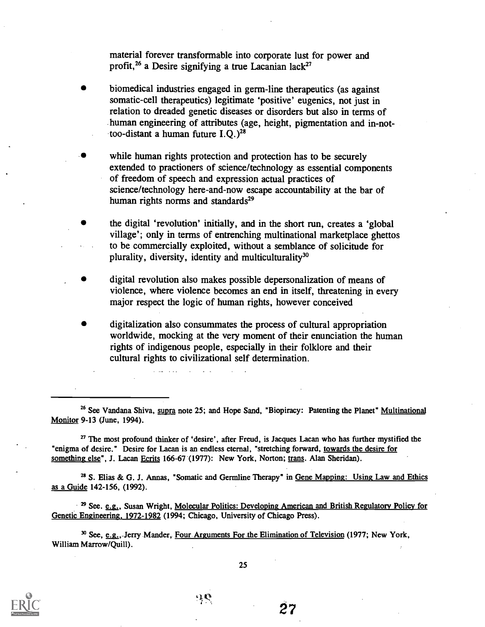material forever transformable into corporate lust for power and profit,<sup>26</sup> a Desire signifying a true Lacanian lack<sup>27</sup>

- biomedical industries engaged in germ-line therapeutics (as against somatic-cell therapeutics) legitimate 'positive' eugenics, not just in relation to dreaded genetic diseases or disorders but also in terms of human engineering of attributes (age, height, pigmentation and in-nottoo-distant a human future  $I.O.$ )<sup>28</sup>
- while human rights protection and protection has to be securely extended to practioners of science/technology as essential components of freedom of speech and expression actual practices of science/technology here-and-now escape accountability at the bar of human rights norms and standards<sup>29</sup>
- the digital 'revolution' initially, and in the short run, creates a 'global village'; only in terms of entrenching multinational marketplace ghettos to be commercially exploited, without a semblance of solicitude for plurality, diversity, identity and multiculturality'
- digital revolution also makes possible depersonalization of means of violence, where violence becomes an end in itself, threatening in every major respect the logic of human rights, however conceived
- digitalization also consummates the process of cultural appropriation worldwide, mocking at the very moment of their enunciation the human rights of indigenous people, especially in their folklore and their cultural rights to civilizational self determination.

<sup>27</sup> The most profound thinker of 'desire', after Freud, is Jacques Lacan who has further mystified the "enigma of desire." Desire for Lacan is an endless eternal, "stretching forward, towards the desire for something else", J. Lacan Ecrits 166-67 (1977): New York, Norton; trans. Alan Sheridan).

<sup>28</sup> S. Elias & G. J. Annas, "Somatic and Germline Therapy" in Gene Mapping: Using Law and Ethics as a Guide 142-156, (1992).

 $^{129}$  See. e.g., Susan Wright, Molecular Politics: Developing American and British Regulatory Policy for Genetic Engineering, 1972-1982 (1994; Chicago, University of Chicago Press).

<sup>30</sup> See, e.g.,.Jerry Mander, Four Arguments For the Elimination of Television (1977; New York, William Marrow/Quill).



25

<sup>&</sup>lt;sup>26</sup> See Vandana Shiva, supra note 25; and Hope Sand, "Biopiracy: Patenting the Planet" Multinational Monitor 9-13 (June, 1994).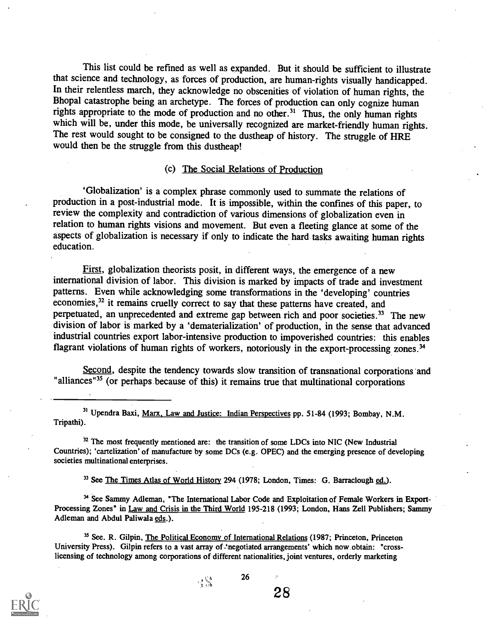This list could be refined as well as expanded. But it should be sufficient to illustrate that science and technology, as forces of production, are human-rights visually handicapped. In their relentless march, they acknowledge no obscenities of violation of human rights, the Bhopal catastrophe being an archetype. The forces of production can only cognize human rights appropriate to the mode of production and no other.<sup>31</sup> Thus, the only human rights which will be, under this mode, be universally recognized are market-friendly human rights. The rest would sought to be consigned to the dustheap of history. The struggle of HRE would then be the struggle from this dustheap!

#### (c) The Social Relations of Production

`Globalization' is a complex phrase commonly used to summate the relations of production in a post-industrial mode. It is impossible, within the confines of this paper, to review the complexity and contradiction of various dimensions of globalization even in relation to human rights visions and movement. But even a fleeting glance at some of the aspects of globalization is necessary if only to indicate the hard tasks awaiting human rights education.

First, globalization theorists posit, in different ways, the emergence of a new international division of labor. This division is marked by impacts of trade and investment patterns. Even while acknowledging some transformations in the 'developing' countries economies,<sup>32</sup> it remains cruelly correct to say that these patterns have created, and perpetuated, an unprecedented and extreme gap between rich and poor societies.<sup>33</sup> The new division of labor is marked by a 'dematerialization' of production, in the sense that advanced industrial countries export labor-intensive production to impoverished countries: this enables flagrant violations of human rights of workers, notoriously in the export-processing zones.<sup>34</sup>

Second, despite the tendency towards slow transition of transnational corporations and "alliances"<sup>35</sup> (or perhaps because of this) it remains true that multinational corporations

31 Upendra Baxi, Marx, Law and Justice: Indian Perspectives pp. 51-84 (1993; Bombay, N.M. Tripathi).

 $32$  The most frequently mentioned are: the transition of some LDCs into NIC (New Industrial Countries); `cartelization' of manufacture by some DCs (e.g. OPEC) and the emerging presence of developing societies multinational enterprises.

<sup>33</sup> See The Times Atlas of World History 294 (1978; London, Times: G. Barraclough ed.).

34 See Sammy Adleman, "The International Labor Code and Exploitation of Female Workers in Export-Processing Zones" in Law and Crisis in the Third World 195-218 (1993; London, Hans Zell Publishers; Sammy Adleman and Abdul Paliwala eds.).

26

<sup>35</sup> See. R. Gilpin, The Political Economy of International Relations (1987; Princeton, Princeton University Press). Gilpin refers to a vast array of "negotiated arrangements' which now obtain: "crosslicensing of technology among corporations of different nationalities, joint ventures, orderly marketing



. S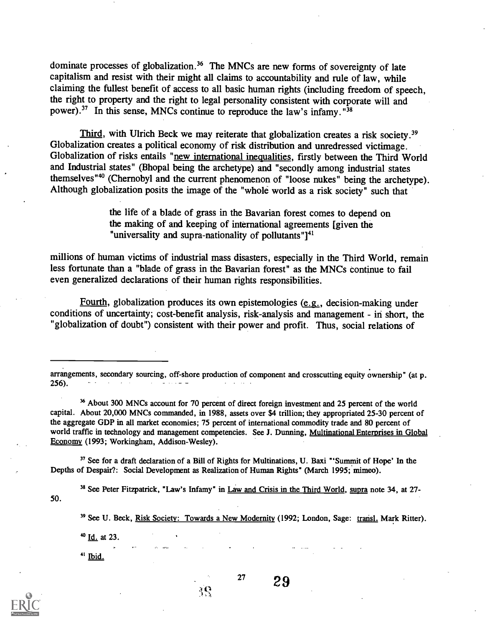dominate processes of globalization.<sup>36</sup> The MNCs are new forms of sovereignty of late capitalism and resist with their might all claims to accountability and rule of law, while claiming the fullest benefit of access to all basic human rights (including freedom of speech, the right to property and the right to legal personality consistent with corporate will and power).<sup>37</sup> In this sense, MNCs continue to reproduce the law's infamy.<sup>"38</sup>

Third, with Ulrich Beck we may reiterate that globalization creates a risk society.<sup>39</sup> Globalization creates a political economy of risk distribution and unredressed victimage. Globalization of risks entails "new international inequalities, firstly between the Third World and Industrial states" (Bhopal being the archetype) and "secondly among industrial states themselves"<sup>40</sup> (Chernobyl and the current phenomenon of "loose nukes" being the archetype). Although globalization posits the image of the "whole world as a risk society" such that

> the life of a blade of grass in the Bavarian forest comes to depend on the making of and keeping of international agreements [given the "universality and supra-nationality of pollutants" $1<sup>41</sup>$

millions of human victims of industrial mass disasters, especially in the Third World, remain less fortunate than a "blade of grass in the Bavarian forest" as the MNCs continue to fail even generalized declarations of their human rights responsibilities.

Fourth, globalization produces its own epistemologies (e.g., decision-making under conditions of uncertainty; cost-benefit analysis, risk-analysis and management - in short, the "globalization of doubt") consistent with their power and profit. Thus, social relations of

arrangements, secondary sourcing, off-shore production of component and crosscutting equity ownership" (at p. 256).

36 About 300 MNCs account for 70 percent of direct foreign investment and 25 percent of the world capital. About 20,000 MNCs commanded, in 1988, assets over \$4 trillion; they appropriated 25-30 percent of the aggregate GDP in all market economies; 75 percent of international commodity trade and 80 percent of world traffic in technology and management competencies. See J. Dunning, Multinational Enterprises in Global Economy (1993; Workingham, Addison-Wesley).

<sup>37</sup> See for a draft declaration of a Bill of Rights for Multinations, U. Baxi "'Summit of Hope' In the Depths of Despair?: Social Development as Realization of Human Rights" (March 1995; mimeo).

39

50. <sup>38</sup> See Peter Fitzpatrick, "Law's Infamy" in Law and Crisis in the Third World, supra note 34, at 27-

<sup>39</sup> See U. Beck, Risk Society: Towards a New Modernity (1992; London, Sage: transl. Mark Ritter).

 $27$   $29$ 

 $40$  Id. at 23.

 $41$  Ibid.

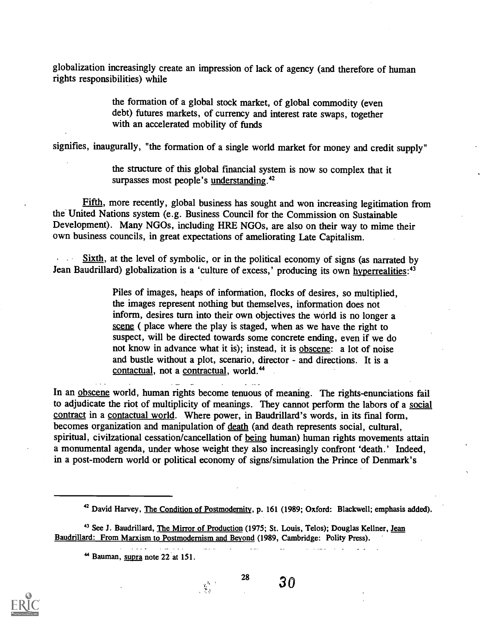globalization increasingly create an impression of lack of agency (and therefore of human rights responsibilities) while

> the formation of a global stock market, of global commodity (even debt) futures markets, of currency and interest rate swaps, together with an accelerated mobility of funds

signifies, inaugurally, "the formation of a single world market for money and credit supply"

the structure of this global financial system is now so complex that it surpasses most people's understanding.<sup>42</sup>

Fifth, more recently, global business has sought and won increasing legitimation from the United Nations system (e.g. Business Council for the Commission on Sustainable Development). Many NGOs, including HRE NGOs, are also on their way to mime their own business councils, in great expectations of ameliorating Late Capitalism.

Sixth, at the level of symbolic, or in the political economy of signs (as narrated by Jean Baudrillard) globalization is a 'culture of excess,' producing its own hyperrealities:<sup>43</sup>

> Piles of images, heaps of information, flocks of desires, so multiplied, the images represent nothing but themselves, information does not inform, desires turn into their own objectives the world is no longer a scene ( place where the play is staged, when as we have the right to suspect, will be directed towards some concrete ending, even if we do not know in advance what it is); instead, it is obscene: a lot of noise and bustle without a plot, scenario, director - and directions. It is a contactual, not a contractual, world.<sup>44</sup>

In an obscene world, human rights become tenuous of meaning. The rights-enunciations fail to adjudicate the riot of multiplicity of meanings. They cannot perform the labors of a social contract in a contactual world. Where power, in Baudrillard's words, in its final form, becomes organization and manipulation of death (and death represents social, cultural, spiritual, civilzational cessation/cancellation of being human) human rights movements attain a monumental agenda, under whose weight they also increasingly confront 'death.' Indeed, in a post-modern world or political economy of signs/simulation the Prince of Denmark's

 $\overline{1}$  and  $\overline{1}$ 

28

<u>a sa matang panaharan</u>



 $30$ 

 $\mathbf{r}$ 

and the company

<sup>&</sup>lt;sup>42</sup> David Harvey, The Condition of Postmodernity, p. 161 (1989; Oxford: Blackwell; emphasis added).

<sup>&</sup>lt;sup>43</sup> See J. Baudrillard, The Mirror of Production (1975; St. Louis, Telos); Douglas Kellner, Jean Baudrillard: From Marxism to Postmodernism and Beyond (1989, Cambridge: Polity Press).

<sup>&</sup>lt;sup>44</sup> Bauman, supra note 22 at 151.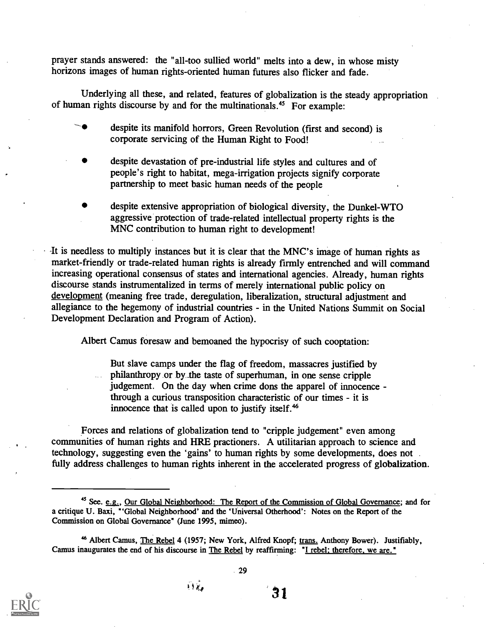prayer stands answered: the "all-too sullied world" melts into a dew, in whose misty horizons images of human rights-oriented human futures also flicker and fade.

Underlying all these, and related, features of globalization is the steady appropriation of human rights discourse by and for the multinationals.<sup>45</sup> For example:

despite its manifold horrors, Green Revolution (first and second) is corporate servicing of the Human Right to Food!

- despite devastation of pre-industrial life styles and cultures and of people's right to habitat, mega-irrigation projects signify corporate partnership to meet basic human needs of the people
- despite extensive appropriation of biological diversity, the Dunkel-WTO aggressive protection of trade-related intellectual property rights is the MNC contribution to human right to development!

It is needless to multiply instances but it is clear that the MNC's image of human rights as market-friendly or trade-related human rights is already firmly entrenched and will command increasing operational consensus of states and international agencies. Already, human rights discourse stands instrumentalized in terms of merely international public policy on development (meaning free trade, deregulation, liberalization, structural adjustment and allegiance to the hegemony of industrial countries - in the United Nations Summit on Social Development Declaration and Program of Action).

Albert Camus foresaw and bemoaned the hypocrisy of such cooptation:

But slave camps under the flag of freedom, massacres justified by philanthropy or by \_the taste of superhuman, in one sense cripple judgement. On the day when crime dons the apparel of innocence through a curious transposition characteristic of our times - it is innocence that is called upon to justify itself.<sup>46</sup>

Forces and relations of globalization tend to "cripple judgement" even among communities of human rights and HRE practioners. A utilitarian approach to science and technology, suggesting even the 'gains' to human rights by some developments, does not . fully address challenges to human rights inherent in the accelerated progress of globalization.



<sup>&</sup>lt;sup>45</sup> See. e.g., Our Global Neighborhood: The Report of the Commission of Global Governance; and for a critique U. Baxi, "Global Neighborhood' and the 'Universal Otherhood': Notes on the Report of the Commission on Global Governance" (June 1995, mimeo).

<sup>46</sup> Albert Camus, The Rebel 4 (1957; New York, Alfred Knopf; trans. Anthony Bower). Justifiably, Camus inaugurates the end of his discourse in The Rebel by reaffirming: "I rebel; therefore, we are."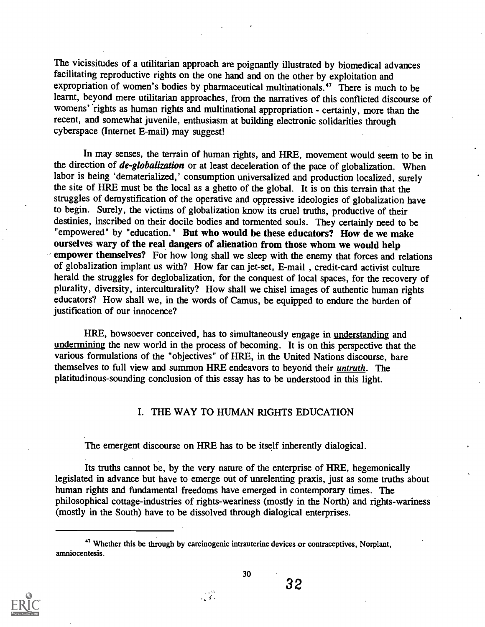The vicissitudes of a utilitarian approach are poignantly illustrated by biomedical advances facilitating reproductive rights on the one hand and on the other by exploitation and expropriation of women's bodies by pharmaceutical multinationals.<sup>47</sup> There is much to be learnt, beyond mere utilitarian approaches, from the narratives of this conflicted discourse of womens' rights as human rights and multinational appropriation - certainly, more than the recent, and somewhat juvenile, enthusiasm at building electronic solidarities through cyberspace (Internet E-mail) may suggest!

In may senses, the terrain of human rights, and HRE, movement would seem to be in the direction of *de-globalization* or at least deceleration of the pace of globalization. When labor is being 'dematerialized,' consumption universalized and production localized, surely the site of HRE must be the local as a ghetto of the global. It is on this terrain that the struggles of demystification of the operative and oppressive ideologies of globalization have to begin. Surely, the victims of globalization know its cruel truths, productive of their destinies, inscribed on their docile bodies and tormented souls. They certainly need to be "empowered" by "education." But who would be these educators? How de we make ourselves wary of the real dangers of alienation from those whom we would help empower themselves? For how long shall we sleep with the enemy that forces and relations of globalization implant us with? How far can jet-set, E-mail , credit-card activist culture herald the struggles for deglobalization, for the conquest of local spaces, for the recovery of plurality, diversity, interculturality? How shall we chisel images of authentic human rights educators? How shall we, in the words of Camus, be equipped to endure the burden of justification of our innocence?

HRE, howsoever conceived, has to simultaneously engage in understanding and undermining the new world in the process of becoming. It is on this perspective that the various formulations of the "objectives" of HRE, in the United Nations discourse, bare themselves to full view and summon HRE endeavors to beyond their *untruth*. The platitudinous-sounding conclusion of this essay has to be understood in this light.

## I. THE WAY TO HUMAN RIGHTS EDUCATION

The emergent discourse on HRE has to be itself inherently dialogical.

Its truths cannot be, by the very nature of the enterprise of HRE, hegemonically legislated in advance but have to emerge out of unrelenting praxis, just as some truths about human rights and fundamental freedoms have emerged in contemporary times. The philosophical cottage-industries of rights-weariness (mostly in the North) and rights-wariness (mostly in the South) have to be dissolved through dialogical enterprises.

 $\mathbb{R}^n$ 



32

<sup>&</sup>lt;sup>47</sup> Whether this be through by carcinogenic intrauterine devices or contraceptives, Norplant, amniocentesis.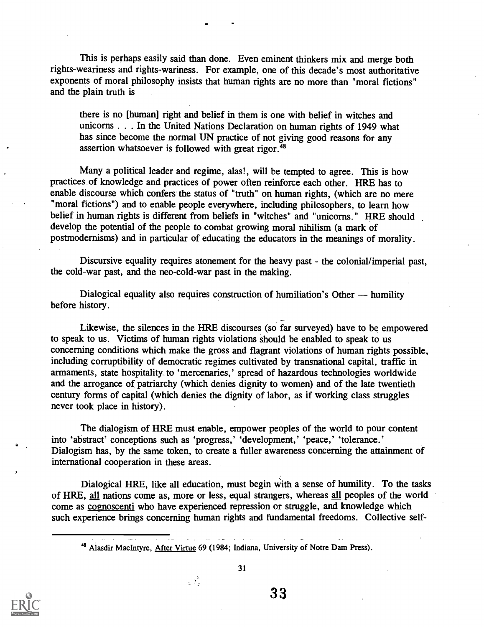This is perhaps easily said than done. Even eminent thinkers mix and merge both rights-weariness and rights-wariness. For example, one of this decade's most authoritative exponents of moral philosophy insists that human rights are no more than "moral fictions" and the plain truth is

there is no [human] right and belief in them is one with belief in witches and unicorns . . . In the United Nations Declaration on human rights of 1949 what has since become the normal UN practice of not giving good reasons for any assertion whatsoever is followed with great rigor.<sup>48</sup>

Many a political leader and regime, alas!, will be tempted to agree. This is how practices of knowledge and practices of power often reinforce each other. HRE has to enable discourse which confers the status of "truth" on human rights, (which are no mere "moral fictions") and to enable people everywhere, including philosophers, to learn how belief in human rights is different from beliefs in "witches" and "unicorns." HRE should develop the potential of the people to combat growing moral nihilism (a mark of postmodemisms) and in particular of educating the educators in the meanings of morality.

Discursive equality requires atonement for the heavy past - the colonial/imperial past, the cold-war past, and the neo-cold-war past in the making.

Dialogical equality also requires construction of humiliation's Other — humility before history.

Likewise, the silences in the HRE discourses (so far surveyed) have to be empowered to speak to us. Victims of human rights violations should be enabled to speak to us concerning conditions which make the gross and flagrant violations of human rights possible, including corruptibility of democratic regimes cultivated by transnational capital, traffic in armaments, state hospitality. to 'mercenaries,' spread of hazardous technologies worldwide and the arrogance of patriarchy (which denies dignity to women) and of the late twentieth century forms of capital (which denies the dignity of labor, as if working class struggles never took place in history).

The dialogism of HRE must enable, empower peoples of the world to pour content into 'abstract' conceptions such as 'progress,' 'development,' 'peace,' 'tolerance.' Dialogism has, by the same token, to create a fuller awareness concerning the attainment of international cooperation in these areas.

Dialogical HRE, like all education, must begin with a sense of humility. To the tasks of HRE, all nations come as, more or less, equal strangers, whereas all peoples of the world come as cognoscenti who have experienced repression or struggle, and knowledge which such experience brings concerning human rights and fundamental freedoms. Collective self-

48 Alasdir MacIntyre, After Virtue 69 (1984; Indiana, University of Notre Dam Press).

g S

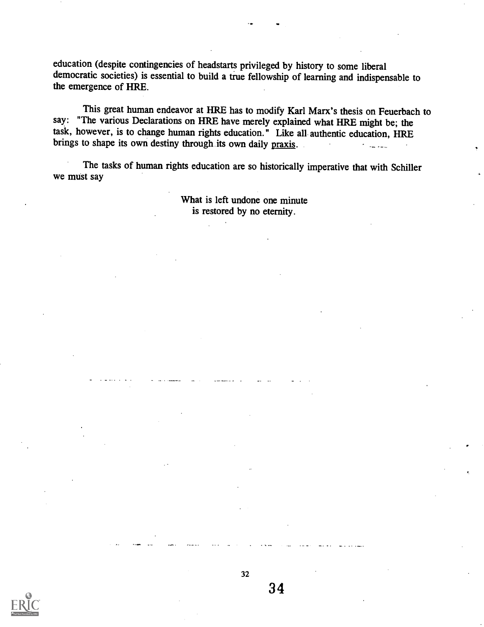education (despite contingencies of headstarts privileged by history to some liberal democratic societies) is essential to build a true fellowship of learning and indispensable to the emergence of HRE.

This great human endeavor at HRE has to modify Karl Marx's thesis on Feuerbach to say: "The various Declarations on HRE have merely explained what HRE might be; the task, however, is to change human rights education." Like all authentic education, HRE<br>brings to shape its own destiny through its own daily praxis. brings to shape its own destiny through its own daily praxis.

The tasks of human rights education are so historically imperative that with Schiller we must say

> What is left undone one minute is restored by no eternity.



32